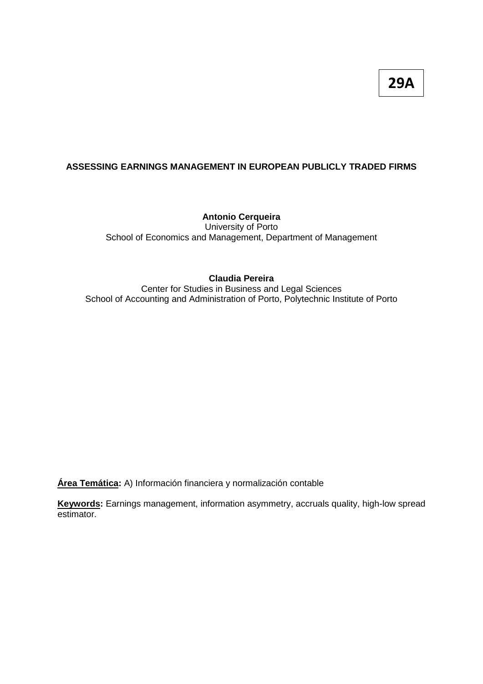# **29A**

# **ASSESSING EARNINGS MANAGEMENT IN EUROPEAN PUBLICLY TRADED FIRMS**

**Antonio Cerqueira**

University of Porto School of Economics and Management, Department of Management

# **Claudia Pereira**

Center for Studies in Business and Legal Sciences School of Accounting and Administration of Porto, Polytechnic Institute of Porto

**Área Temática:** A) Información financiera y normalización contable

**Keywords:** Earnings management, information asymmetry, accruals quality, high-low spread estimator.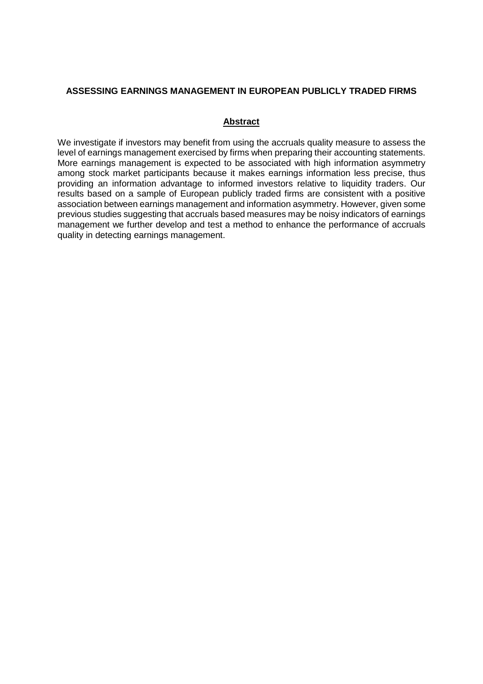# **ASSESSING EARNINGS MANAGEMENT IN EUROPEAN PUBLICLY TRADED FIRMS**

# **Abstract**

We investigate if investors may benefit from using the accruals quality measure to assess the level of earnings management exercised by firms when preparing their accounting statements. More earnings management is expected to be associated with high information asymmetry among stock market participants because it makes earnings information less precise, thus providing an information advantage to informed investors relative to liquidity traders. Our results based on a sample of European publicly traded firms are consistent with a positive association between earnings management and information asymmetry. However, given some previous studies suggesting that accruals based measures may be noisy indicators of earnings management we further develop and test a method to enhance the performance of accruals quality in detecting earnings management.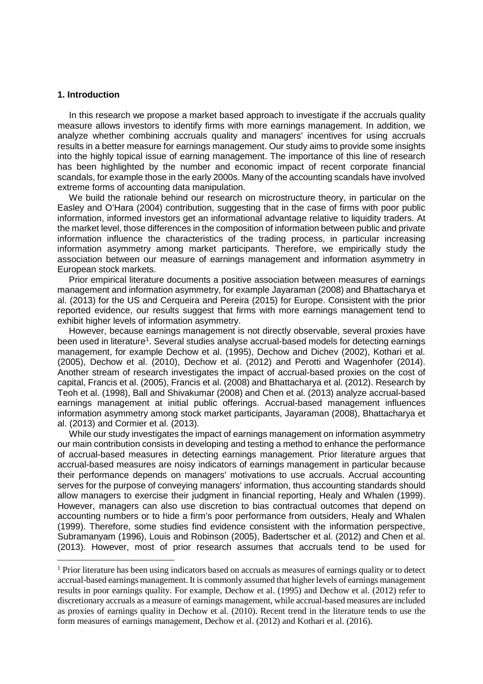## **1. Introduction**

<u>.</u>

In this research we propose a market based approach to investigate if the accruals quality measure allows investors to identify firms with more earnings management. In addition, we analyze whether combining accruals quality and managers' incentives for using accruals results in a better measure for earnings management. Our study aims to provide some insights into the highly topical issue of earning management. The importance of this line of research has been highlighted by the number and economic impact of recent corporate financial scandals, for example those in the early 2000s. Many of the accounting scandals have involved extreme forms of accounting data manipulation.

We build the rationale behind our research on microstructure theory, in particular on the Easley and O'Hara (2004) contribution, suggesting that in the case of firms with poor public information, informed investors get an informational advantage relative to liquidity traders. At the market level, those differences in the composition of information between public and private information influence the characteristics of the trading process, in particular increasing information asymmetry among market participants. Therefore, we empirically study the association between our measure of earnings management and information asymmetry in European stock markets.

Prior empirical literature documents a positive association between measures of earnings management and information asymmetry, for example Jayaraman (2008) and Bhattacharya et al. (2013) for the US and Cerqueira and Pereira (2015) for Europe. Consistent with the prior reported evidence, our results suggest that firms with more earnings management tend to exhibit higher levels of information asymmetry.

However, because earnings management is not directly observable, several proxies have been used in literature<sup>[1](#page-2-0)</sup>. Several studies analyse accrual-based models for detecting earnings management, for example Dechow et al. (1995), Dechow and Dichev (2002), Kothari et al. (2005), Dechow et al. (2010), Dechow et al. (2012) and Perotti and Wagenhofer (2014). Another stream of research investigates the impact of accrual-based proxies on the cost of capital, Francis et al. (2005), Francis et al. (2008) and Bhattacharya et al. (2012). Research by Teoh et al. (1998), Ball and Shivakumar (2008) and Chen et al. (2013) analyze accrual-based earnings management at initial public offerings. Accrual-based management influences information asymmetry among stock market participants, Jayaraman (2008), Bhattacharya et al. (2013) and Cormier et al. (2013).

While our study investigates the impact of earnings management on information asymmetry our main contribution consists in developing and testing a method to enhance the performance of accrual-based measures in detecting earnings management. Prior literature argues that accrual-based measures are noisy indicators of earnings management in particular because their performance depends on managers' motivations to use accruals. Accrual accounting serves for the purpose of conveying managers' information, thus accounting standards should allow managers to exercise their judgment in financial reporting, Healy and Whalen (1999). However, managers can also use discretion to bias contractual outcomes that depend on accounting numbers or to hide a firm's poor performance from outsiders, Healy and Whalen (1999). Therefore, some studies find evidence consistent with the information perspective, Subramanyam (1996), Louis and Robinson (2005), Badertscher et al. (2012) and Chen et al. (2013). However, most of prior research assumes that accruals tend to be used for

<span id="page-2-0"></span><sup>&</sup>lt;sup>1</sup> Prior literature has been using indicators based on accruals as measures of earnings quality or to detect accrual-based earnings management. It is commonly assumed that higher levels of earnings management results in poor earnings quality. For example, Dechow et al. (1995) and Dechow et al. (2012) refer to discretionary accruals as a measure of earnings management, while accrual-based measures are included as proxies of earnings quality in Dechow et al. (2010). Recent trend in the literature tends to use the form measures of earnings management, Dechow et al. (2012) and Kothari et al. (2016).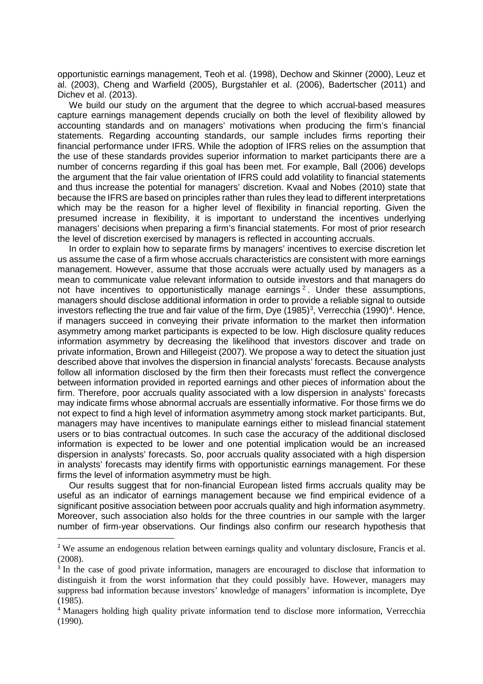opportunistic earnings management, Teoh et al. (1998), Dechow and Skinner (2000), Leuz et al. (2003), Cheng and Warfield (2005), Burgstahler et al. (2006), Badertscher (2011) and Dichev et al. (2013).

We build our study on the argument that the degree to which accrual-based measures capture earnings management depends crucially on both the level of flexibility allowed by accounting standards and on managers' motivations when producing the firm's financial statements. Regarding accounting standards, our sample includes firms reporting their financial performance under IFRS. While the adoption of IFRS relies on the assumption that the use of these standards provides superior information to market participants there are a number of concerns regarding if this goal has been met. For example, Ball (2006) develops the argument that the fair value orientation of IFRS could add volatility to financial statements and thus increase the potential for managers' discretion. Kvaal and Nobes (2010) state that because the IFRS are based on principles rather than rules they lead to different interpretations which may be the reason for a higher level of flexibility in financial reporting. Given the presumed increase in flexibility, it is important to understand the incentives underlying managers' decisions when preparing a firm's financial statements. For most of prior research the level of discretion exercised by managers is reflected in accounting accruals.

In order to explain how to separate firms by managers' incentives to exercise discretion let us assume the case of a firm whose accruals characteristics are consistent with more earnings management. However, assume that those accruals were actually used by managers as a mean to communicate value relevant information to outside investors and that managers do not have incentives to opportunistically manage earnings<sup>[2](#page-3-0)</sup>. Under these assumptions, managers should disclose additional information in order to provide a reliable signal to outside investors reflecting the true and fair value of the firm, Dye  $(1985)^3$  $(1985)^3$ , Verrecchia  $(1990)^4$  $(1990)^4$ . Hence, if managers succeed in conveying their private information to the market then information asymmetry among market participants is expected to be low. High disclosure quality reduces information asymmetry by decreasing the likelihood that investors discover and trade on private information, Brown and Hillegeist (2007). We propose a way to detect the situation just described above that involves the dispersion in financial analysts' forecasts. Because analysts follow all information disclosed by the firm then their forecasts must reflect the convergence between information provided in reported earnings and other pieces of information about the firm. Therefore, poor accruals quality associated with a low dispersion in analysts' forecasts may indicate firms whose abnormal accruals are essentially informative. For those firms we do not expect to find a high level of information asymmetry among stock market participants. But, managers may have incentives to manipulate earnings either to mislead financial statement users or to bias contractual outcomes. In such case the accuracy of the additional disclosed information is expected to be lower and one potential implication would be an increased dispersion in analysts' forecasts. So, poor accruals quality associated with a high dispersion in analysts' forecasts may identify firms with opportunistic earnings management. For these firms the level of information asymmetry must be high.

Our results suggest that for non-financial European listed firms accruals quality may be useful as an indicator of earnings management because we find empirical evidence of a significant positive association between poor accruals quality and high information asymmetry. Moreover, such association also holds for the three countries in our sample with the larger number of firm-year observations. Our findings also confirm our research hypothesis that

<span id="page-3-0"></span><sup>&</sup>lt;sup>2</sup> We assume an endogenous relation between earnings quality and voluntary disclosure, Francis et al. (2008).

<span id="page-3-1"></span><sup>&</sup>lt;sup>3</sup> In the case of good private information, managers are encouraged to disclose that information to distinguish it from the worst information that they could possibly have. However, managers may suppress bad information because investors' knowledge of managers' information is incomplete, Dye (1985).

<span id="page-3-2"></span><sup>4</sup> Managers holding high quality private information tend to disclose more information, Verrecchia (1990).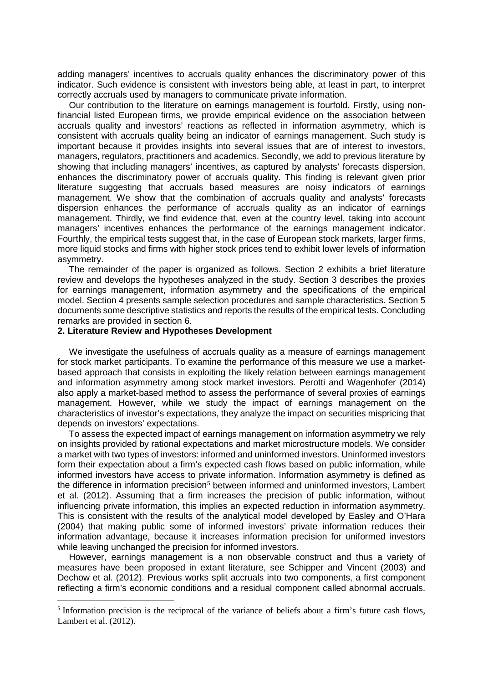adding managers' incentives to accruals quality enhances the discriminatory power of this indicator. Such evidence is consistent with investors being able, at least in part, to interpret correctly accruals used by managers to communicate private information.

Our contribution to the literature on earnings management is fourfold. Firstly, using nonfinancial listed European firms, we provide empirical evidence on the association between accruals quality and investors' reactions as reflected in information asymmetry, which is consistent with accruals quality being an indicator of earnings management. Such study is important because it provides insights into several issues that are of interest to investors, managers, regulators, practitioners and academics. Secondly, we add to previous literature by showing that including managers' incentives, as captured by analysts' forecasts dispersion, enhances the discriminatory power of accruals quality. This finding is relevant given prior literature suggesting that accruals based measures are noisy indicators of earnings management. We show that the combination of accruals quality and analysts' forecasts dispersion enhances the performance of accruals quality as an indicator of earnings management. Thirdly, we find evidence that, even at the country level, taking into account managers' incentives enhances the performance of the earnings management indicator. Fourthly, the empirical tests suggest that, in the case of European stock markets, larger firms, more liquid stocks and firms with higher stock prices tend to exhibit lower levels of information asymmetry.

The remainder of the paper is organized as follows. Section 2 exhibits a brief literature review and develops the hypotheses analyzed in the study. Section 3 describes the proxies for earnings management, information asymmetry and the specifications of the empirical model. Section 4 presents sample selection procedures and sample characteristics. Section 5 documents some descriptive statistics and reports the results of the empirical tests. Concluding remarks are provided in section 6.

## **2. Literature Review and Hypotheses Development**

We investigate the usefulness of accruals quality as a measure of earnings management for stock market participants. To examine the performance of this measure we use a marketbased approach that consists in exploiting the likely relation between earnings management and information asymmetry among stock market investors. Perotti and Wagenhofer (2014) also apply a market-based method to assess the performance of several proxies of earnings management. However, while we study the impact of earnings management on the characteristics of investor's expectations, they analyze the impact on securities mispricing that depends on investors' expectations.

To assess the expected impact of earnings management on information asymmetry we rely on insights provided by rational expectations and market microstructure models. We consider a market with two types of investors: informed and uninformed investors. Uninformed investors form their expectation about a firm's expected cash flows based on public information, while informed investors have access to private information. Information asymmetry is defined as the difference in information precision<sup>5</sup> between informed and uninformed investors. Lambert et al. (2012). Assuming that a firm increases the precision of public information, without influencing private information, this implies an expected reduction in information asymmetry. This is consistent with the results of the analytical model developed by Easley and O'Hara (2004) that making public some of informed investors' private information reduces their information advantage, because it increases information precision for uniformed investors while leaving unchanged the precision for informed investors.

However, earnings management is a non observable construct and thus a variety of measures have been proposed in extant literature, see Schipper and Vincent (2003) and Dechow et al. (2012). Previous works split accruals into two components, a first component reflecting a firm's economic conditions and a residual component called abnormal accruals.

<span id="page-4-0"></span> <sup>5</sup> Information precision is the reciprocal of the variance of beliefs about a firm's future cash flows, Lambert et al. (2012).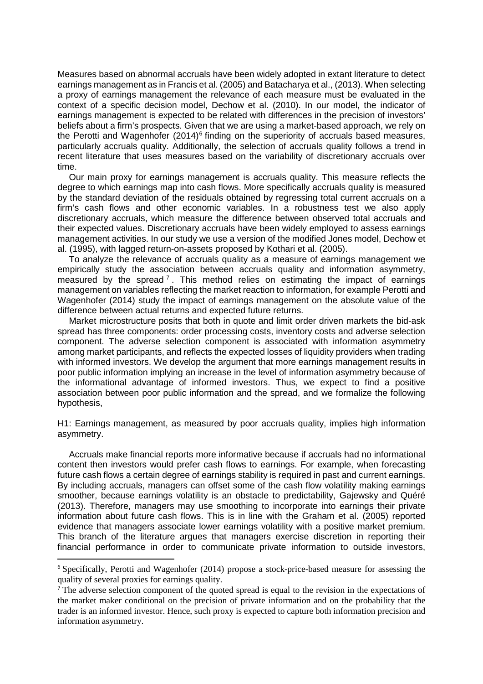Measures based on abnormal accruals have been widely adopted in extant literature to detect earnings management as in Francis et al. (2005) and Batacharya et al., (2013). When selecting a proxy of earnings management the relevance of each measure must be evaluated in the context of a specific decision model, Dechow et al. (2010). In our model, the indicator of earnings management is expected to be related with differences in the precision of investors' beliefs about a firm's prospects. Given that we are using a market-based approach, we rely on the Perotti and Wagenhofer  $(2014)^6$  $(2014)^6$  finding on the superiority of accruals based measures, particularly accruals quality. Additionally, the selection of accruals quality follows a trend in recent literature that uses measures based on the variability of discretionary accruals over time.

Our main proxy for earnings management is accruals quality. This measure reflects the degree to which earnings map into cash flows. More specifically accruals quality is measured by the standard deviation of the residuals obtained by regressing total current accruals on a firm's cash flows and other economic variables. In a robustness test we also apply discretionary accruals, which measure the difference between observed total accruals and their expected values. Discretionary accruals have been widely employed to assess earnings management activities. In our study we use a version of the modified Jones model, Dechow et al. (1995), with lagged return-on-assets proposed by Kothari et al. (2005).

To analyze the relevance of accruals quality as a measure of earnings management we empirically study the association between accruals quality and information asymmetry, measured by the spread  $<sup>7</sup>$  $<sup>7</sup>$  $<sup>7</sup>$ . This method relies on estimating the impact of earnings</sup> management on variables reflecting the market reaction to information, for example Perotti and Wagenhofer (2014) study the impact of earnings management on the absolute value of the difference between actual returns and expected future returns.

Market microstructure posits that both in quote and limit order driven markets the bid-ask spread has three components: order processing costs, inventory costs and adverse selection component. The adverse selection component is associated with information asymmetry among market participants, and reflects the expected losses of liquidity providers when trading with informed investors. We develop the argument that more earnings management results in poor public information implying an increase in the level of information asymmetry because of the informational advantage of informed investors. Thus, we expect to find a positive association between poor public information and the spread, and we formalize the following hypothesis,

H1: Earnings management, as measured by poor accruals quality, implies high information asymmetry.

Accruals make financial reports more informative because if accruals had no informational content then investors would prefer cash flows to earnings. For example, when forecasting future cash flows a certain degree of earnings stability is required in past and current earnings. By including accruals, managers can offset some of the cash flow volatility making earnings smoother, because earnings volatility is an obstacle to predictability, Gajewsky and Quéré (2013). Therefore, managers may use smoothing to incorporate into earnings their private information about future cash flows. This is in line with the Graham et al. (2005) reported evidence that managers associate lower earnings volatility with a positive market premium. This branch of the literature argues that managers exercise discretion in reporting their financial performance in order to communicate private information to outside investors,

<span id="page-5-0"></span><sup>&</sup>lt;sup>6</sup> Specifically, Perotti and Wagenhofer (2014) propose a stock-price-based measure for assessing the quality of several proxies for earnings quality.

<span id="page-5-1"></span><sup>7</sup> The adverse selection component of the quoted spread is equal to the revision in the expectations of the market maker conditional on the precision of private information and on the probability that the trader is an informed investor. Hence, such proxy is expected to capture both information precision and information asymmetry.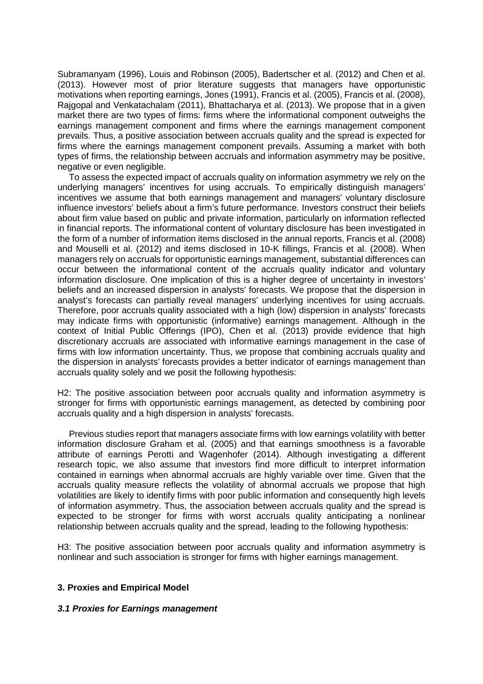Subramanyam (1996), Louis and Robinson (2005), Badertscher et al. (2012) and Chen et al. (2013). However most of prior literature suggests that managers have opportunistic motivations when reporting earnings, Jones (1991), Francis et al. (2005), Francis et al. (2008), Rajgopal and Venkatachalam (2011), Bhattacharya et al. (2013). We propose that in a given market there are two types of firms: firms where the informational component outweighs the earnings management component and firms where the earnings management component prevails. Thus, a positive association between accruals quality and the spread is expected for firms where the earnings management component prevails. Assuming a market with both types of firms, the relationship between accruals and information asymmetry may be positive, negative or even negligible.

To assess the expected impact of accruals quality on information asymmetry we rely on the underlying managers' incentives for using accruals. To empirically distinguish managers' incentives we assume that both earnings management and managers' voluntary disclosure influence investors' beliefs about a firm's future performance. Investors construct their beliefs about firm value based on public and private information, particularly on information reflected in financial reports. The informational content of voluntary disclosure has been investigated in the form of a number of information items disclosed in the annual reports, Francis et al. (2008) and Mouselli et al. (2012) and items disclosed in 10-K fillings, Francis et al. (2008). When managers rely on accruals for opportunistic earnings management, substantial differences can occur between the informational content of the accruals quality indicator and voluntary information disclosure. One implication of this is a higher degree of uncertainty in investors' beliefs and an increased dispersion in analysts' forecasts. We propose that the dispersion in analyst's forecasts can partially reveal managers' underlying incentives for using accruals. Therefore, poor accruals quality associated with a high (low) dispersion in analysts' forecasts may indicate firms with opportunistic (informative) earnings management. Although in the context of Initial Public Offerings (IPO), Chen et al. (2013) provide evidence that high discretionary accruals are associated with informative earnings management in the case of firms with low information uncertainty. Thus, we propose that combining accruals quality and the dispersion in analysts' forecasts provides a better indicator of earnings management than accruals quality solely and we posit the following hypothesis:

H2: The positive association between poor accruals quality and information asymmetry is stronger for firms with opportunistic earnings management, as detected by combining poor accruals quality and a high dispersion in analysts' forecasts.

Previous studies report that managers associate firms with low earnings volatility with better information disclosure Graham et al. (2005) and that earnings smoothness is a favorable attribute of earnings Perotti and Wagenhofer (2014). Although investigating a different research topic, we also assume that investors find more difficult to interpret information contained in earnings when abnormal accruals are highly variable over time. Given that the accruals quality measure reflects the volatility of abnormal accruals we propose that high volatilities are likely to identify firms with poor public information and consequently high levels of information asymmetry. Thus, the association between accruals quality and the spread is expected to be stronger for firms with worst accruals quality anticipating a nonlinear relationship between accruals quality and the spread, leading to the following hypothesis:

H3: The positive association between poor accruals quality and information asymmetry is nonlinear and such association is stronger for firms with higher earnings management.

# **3. Proxies and Empirical Model**

## *3.1 Proxies for Earnings management*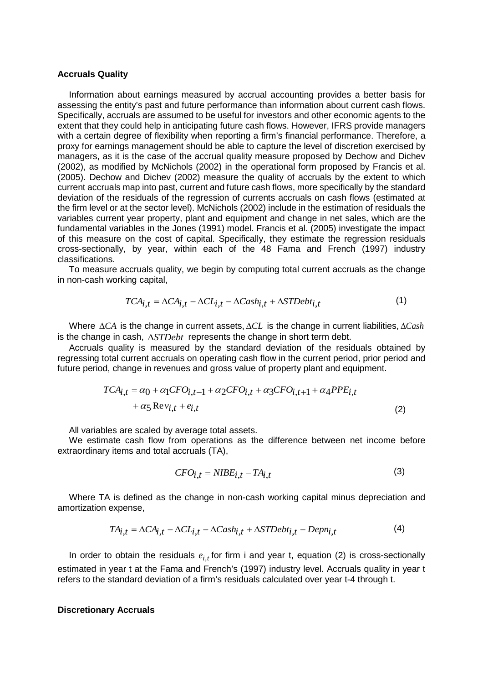#### **Accruals Quality**

Information about earnings measured by accrual accounting provides a better basis for assessing the entity's past and future performance than information about current cash flows. Specifically, accruals are assumed to be useful for investors and other economic agents to the extent that they could help in anticipating future cash flows. However, IFRS provide managers with a certain degree of flexibility when reporting a firm's financial performance. Therefore, a proxy for earnings management should be able to capture the level of discretion exercised by managers, as it is the case of the accrual quality measure proposed by Dechow and Dichev (2002), as modified by McNichols (2002) in the operational form proposed by Francis et al. (2005). Dechow and Dichev (2002) measure the quality of accruals by the extent to which current accruals map into past, current and future cash flows, more specifically by the standard deviation of the residuals of the regression of currents accruals on cash flows (estimated at the firm level or at the sector level). McNichols (2002) include in the estimation of residuals the variables current year property, plant and equipment and change in net sales, which are the fundamental variables in the Jones (1991) model. Francis et al. (2005) investigate the impact of this measure on the cost of capital. Specifically, they estimate the regression residuals cross-sectionally, by year, within each of the 48 Fama and French (1997) industry classifications.

To measure accruals quality, we begin by computing total current accruals as the change in non-cash working capital,

$$
TCA_{i,t} = \Delta CA_{i,t} - \Delta CL_{i,t} - \Delta Cash_{i,t} + \Delta STDebt_{i,t}
$$
 (1)

Where ∆*CA* is the change in current assets, ∆*CL* is the change in current liabilities, ∆*Cash* is the change in cash, ∆*STDebt* represents the change in short term debt.

Accruals quality is measured by the standard deviation of the residuals obtained by regressing total current accruals on operating cash flow in the current period, prior period and future period, change in revenues and gross value of property plant and equipment.

$$
TCA_{i,t} = \alpha_0 + \alpha_1 CFO_{i,t-1} + \alpha_2 CFO_{i,t} + \alpha_3 CFO_{i,t+1} + \alpha_4 PPE_{i,t} + \alpha_5 \operatorname{Re} v_{i,t} + e_{i,t}
$$
\n(2)

All variables are scaled by average total assets.

We estimate cash flow from operations as the difference between net income before extraordinary items and total accruals (TA),

$$
CFO_{i,t} = NIBE_{i,t} - TA_{i,t} \tag{3}
$$

Where TA is defined as the change in non-cash working capital minus depreciation and amortization expense,

$$
TA_{i,t} = \Delta CA_{i,t} - \Delta CL_{i,t} - \Delta Cash_{i,t} + \Delta STDebt_{i,t} - Depn_{i,t}
$$
\n
$$
\tag{4}
$$

In order to obtain the residuals  $e_{i,t}$  for firm i and year t, equation (2) is cross-sectionally estimated in year t at the Fama and French's (1997) industry level. Accruals quality in year t refers to the standard deviation of a firm's residuals calculated over year t-4 through t.

#### **Discretionary Accruals**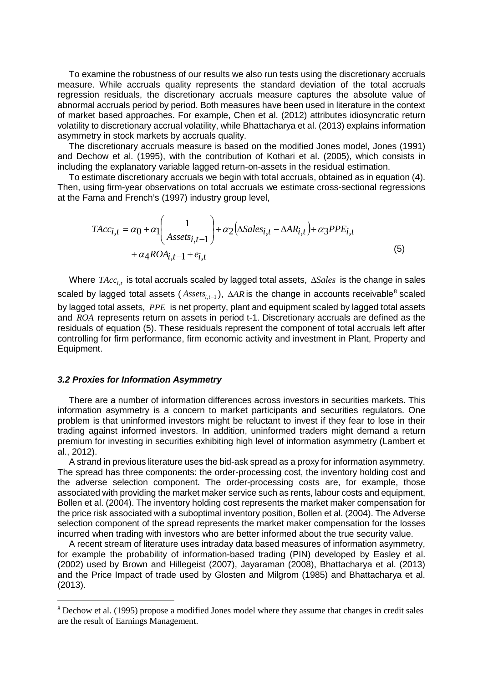To examine the robustness of our results we also run tests using the discretionary accruals measure. While accruals quality represents the standard deviation of the total accruals regression residuals, the discretionary accruals measure captures the absolute value of abnormal accruals period by period. Both measures have been used in literature in the context of market based approaches. For example, Chen et al. (2012) attributes idiosyncratic return volatility to discretionary accrual volatility, while Bhattacharya et al. (2013) explains information asymmetry in stock markets by accruals quality.

The discretionary accruals measure is based on the modified Jones model, Jones (1991) and Dechow et al. (1995), with the contribution of Kothari et al. (2005), which consists in including the explanatory variable lagged return-on-assets in the residual estimation.

To estimate discretionary accruals we begin with total accruals, obtained as in equation (4). Then, using firm-year observations on total accruals we estimate cross-sectional regressions at the Fama and French's (1997) industry group level,

$$
TAcc_{i,t} = \alpha_0 + \alpha_1 \left( \frac{1}{Assets_{i,t-1}} \right) + \alpha_2 \left( \Delta Sales_{i,t} - \Delta AR_{i,t} \right) + \alpha_3 PPE_{i,t}
$$
  
+  $\alpha_4 ROA_{i,t-1} + e_{i,t}$  (5)

Where *TAcci*,*<sup>t</sup>* is total accruals scaled by lagged total assets, ∆*Sales* is the change in sales scaled by lagged total assets (  $Asets<sub>i,t-1</sub>$ ), ∆*AR* is the change in accounts receivable<sup>[8](#page-8-0)</sup> scaled by lagged total assets, *PPE* is net property, plant and equipment scaled by lagged total assets and *ROA* represents return on assets in period t-1. Discretionary accruals are defined as the residuals of equation (5). These residuals represent the component of total accruals left after controlling for firm performance, firm economic activity and investment in Plant, Property and Equipment.

# *3.2 Proxies for Information Asymmetry*

There are a number of information differences across investors in securities markets. This information asymmetry is a concern to market participants and securities regulators. One problem is that uninformed investors might be reluctant to invest if they fear to lose in their trading against informed investors. In addition, uninformed traders might demand a return premium for investing in securities exhibiting high level of information asymmetry (Lambert et al., 2012).

A strand in previous literature uses the bid-ask spread as a proxy for information asymmetry. The spread has three components: the order-processing cost, the inventory holding cost and the adverse selection component. The order-processing costs are, for example, those associated with providing the market maker service such as rents, labour costs and equipment, Bollen et al. (2004). The inventory holding cost represents the market maker compensation for the price risk associated with a suboptimal inventory position, Bollen et al. (2004). The Adverse selection component of the spread represents the market maker compensation for the losses incurred when trading with investors who are better informed about the true security value.

A recent stream of literature uses intraday data based measures of information asymmetry, for example the probability of information-based trading (PIN) developed by Easley et al. (2002) used by Brown and Hillegeist (2007), Jayaraman (2008), Bhattacharya et al. (2013) and the Price Impact of trade used by Glosten and Milgrom (1985) and Bhattacharya et al. (2013).

<span id="page-8-0"></span> <sup>8</sup> Dechow et al. (1995) propose a modified Jones model where they assume that changes in credit sales are the result of Earnings Management.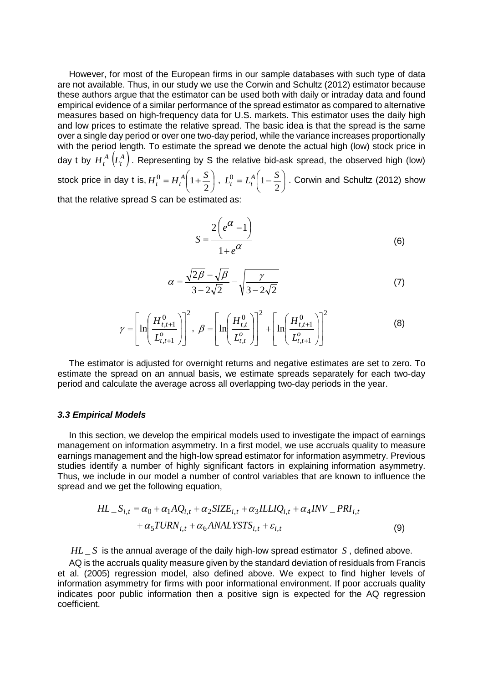However, for most of the European firms in our sample databases with such type of data are not available. Thus, in our study we use the Corwin and Schultz (2012) estimator because these authors argue that the estimator can be used both with daily or intraday data and found empirical evidence of a similar performance of the spread estimator as compared to alternative measures based on high-frequency data for U.S. markets. This estimator uses the daily high and low prices to estimate the relative spread. The basic idea is that the spread is the same over a single day period or over one two-day period, while the variance increases proportionally with the period length. To estimate the spread we denote the actual high (low) stock price in day t by  $H_t^A\left( L_t^A\right)$ . Representing by S the relative bid-ask spread, the observed high (low) stock price in day t is,  $H_t^0 = H_t^A | 1 + \frac{B}{2}$ J  $\left(1+\frac{S}{2}\right)$  $\setminus$  $= H_t^A \left( 1 + \right)$ 2  $H_t^0 = H_t^A \left( 1 + \frac{S}{2} \right)$ ,  $L_t^0 = L_t^A \left( 1 - \frac{S}{2} \right)$  $\left(1-\frac{S}{2}\right)$  $L_t^0 = L_t^A \left( 1 - \frac{S}{2} \right)$  . Corwin and Schultz (2012) show

that the relative spread S can be estimated as:

$$
S = \frac{2\left(e^{\alpha} - 1\right)}{1 + e^{\alpha}}
$$
 (6)

$$
\alpha = \frac{\sqrt{2\beta} - \sqrt{\beta}}{3 - 2\sqrt{2}} - \sqrt{\frac{\gamma}{3 - 2\sqrt{2}}}
$$
\n(7)

$$
\gamma = \left[ \ln \left( \frac{H_{t,t+1}^0}{L_{t,t+1}^o} \right) \right]^2, \ \beta = \left[ \ln \left( \frac{H_{t,t}^0}{L_{t,t}^o} \right) \right]^2 + \left[ \ln \left( \frac{H_{t,t+1}^0}{L_{t,t+1}^o} \right) \right]^2 \tag{8}
$$

The estimator is adjusted for overnight returns and negative estimates are set to zero. To estimate the spread on an annual basis, we estimate spreads separately for each two-day period and calculate the average across all overlapping two-day periods in the year.

#### *3.3 Empirical Models*

In this section, we develop the empirical models used to investigate the impact of earnings management on information asymmetry. In a first model, we use accruals quality to measure earnings management and the high-low spread estimator for information asymmetry. Previous studies identify a number of highly significant factors in explaining information asymmetry. Thus, we include in our model a number of control variables that are known to influence the spread and we get the following equation,

$$
HL\_S_{i,t} = \alpha_0 + \alpha_1 A Q_{i,t} + \alpha_2 SIZE_{i,t} + \alpha_3 ILLIQ_{i,t} + \alpha_4 INV\_PRI_{i,t} + \alpha_5 TURN_{i,t} + \alpha_6 ANALYSTS_{i,t} + \varepsilon_{i,t}
$$
\n(9)

*HL* \_ *S* is the annual average of the daily high-low spread estimator *S* , defined above.

AQ is the accruals quality measure given by the standard deviation of residuals from Francis et al. (2005) regression model, also defined above. We expect to find higher levels of information asymmetry for firms with poor informational environment. If poor accruals quality indicates poor public information then a positive sign is expected for the AQ regression coefficient.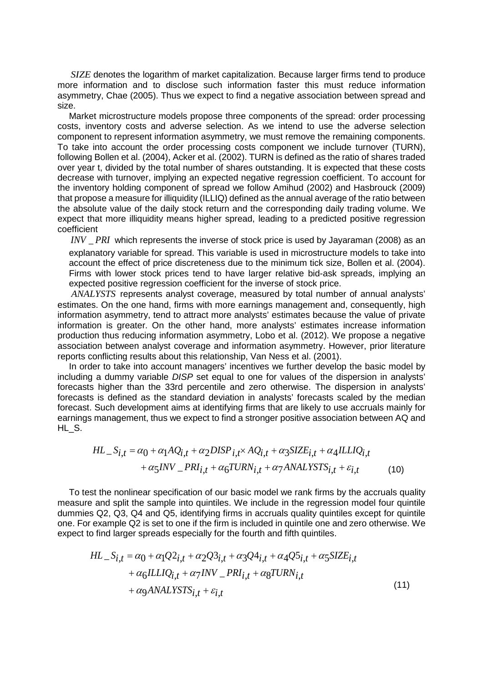*SIZE* denotes the logarithm of market capitalization. Because larger firms tend to produce more information and to disclose such information faster this must reduce information asymmetry, Chae (2005). Thus we expect to find a negative association between spread and size.

Market microstructure models propose three components of the spread: order processing costs, inventory costs and adverse selection. As we intend to use the adverse selection component to represent information asymmetry, we must remove the remaining components. To take into account the order processing costs component we include turnover (TURN), following Bollen et al. (2004), Acker et al. (2002). TURN is defined as the ratio of shares traded over year t, divided by the total number of shares outstanding. It is expected that these costs decrease with turnover, implying an expected negative regression coefficient. To account for the inventory holding component of spread we follow Amihud (2002) and Hasbrouck (2009) that propose a measure for illiquidity (ILLIQ) defined as the annual average of the ratio between the absolute value of the daily stock return and the corresponding daily trading volume. We expect that more illiquidity means higher spread, leading to a predicted positive regression coefficient

*INV* \_ *PRI* which represents the inverse of stock price is used by Jayaraman (2008) as an explanatory variable for spread. This variable is used in microstructure models to take into account the effect of price discreteness due to the minimum tick size, Bollen et al. (2004). Firms with lower stock prices tend to have larger relative bid-ask spreads, implying an expected positive regression coefficient for the inverse of stock price.

*ANALYSTS* represents analyst coverage, measured by total number of annual analysts' estimates. On the one hand, firms with more earnings management and, consequently, high information asymmetry, tend to attract more analysts' estimates because the value of private information is greater. On the other hand, more analysts' estimates increase information production thus reducing information asymmetry, Lobo et al. (2012). We propose a negative association between analyst coverage and information asymmetry. However, prior literature reports conflicting results about this relationship, Van Ness et al. (2001).

In order to take into account managers' incentives we further develop the basic model by including a dummy variable *DISP* set equal to one for values of the dispersion in analysts' forecasts higher than the 33rd percentile and zero otherwise. The dispersion in analysts' forecasts is defined as the standard deviation in analysts' forecasts scaled by the median forecast. Such development aims at identifying firms that are likely to use accruals mainly for earnings management, thus we expect to find a stronger positive association between AQ and HL<sub>S</sub>.

$$
HL\_S_{i,t} = \alpha_0 + \alpha_1 A Q_{i,t} + \alpha_2 DISP_{i,t} \times AQ_{i,t} + \alpha_3 SIZE_{i,t} + \alpha_4 ILLIQ_{i,t} + \alpha_5 INV\_PRI_{i,t} + \alpha_6 TURN_{i,t} + \alpha_7 ANALYSIS_{i,t} + \varepsilon_{i,t}
$$
(10)

To test the nonlinear specification of our basic model we rank firms by the accruals quality measure and split the sample into quintiles. We include in the regression model four quintile dummies Q2, Q3, Q4 and Q5, identifying firms in accruals quality quintiles except for quintile one. For example Q2 is set to one if the firm is included in quintile one and zero otherwise. We expect to find larger spreads especially for the fourth and fifth quintiles.

$$
HL\_S_{i,t} = \alpha_0 + \alpha_1 Q 2_{i,t} + \alpha_2 Q 3_{i,t} + \alpha_3 Q 4_{i,t} + \alpha_4 Q 5_{i,t} + \alpha_5 S I Z E_{i,t}
$$
  
+  $\alpha_6 ILLIQ_{i,t} + \alpha_7 INV\_PRI_{i,t} + \alpha_8 T U R N_{i,t}$   
+  $\alpha_9 ANALY ST S_{i,t} + \varepsilon_{i,t}$  (11)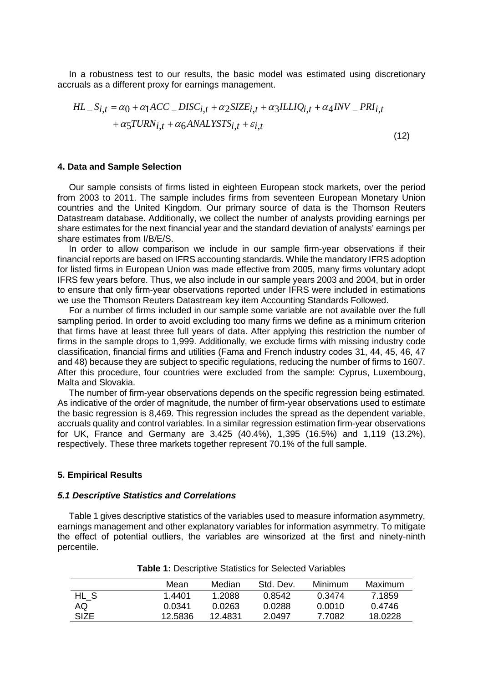In a robustness test to our results, the basic model was estimated using discretionary accruals as a different proxy for earnings management.

$$
HL\_S_{i,t} = \alpha_0 + \alpha_1 ACC\_DISC_{i,t} + \alpha_2 SIZE_{i,t} + \alpha_3 ILLIQ_{i,t} + \alpha_4 INV\_PRI_{i,t} + \alpha_5 TURN_{i,t} + \alpha_6 ANALYSIS_{i,t} + \varepsilon_{i,t}
$$
\n(12)

#### **4. Data and Sample Selection**

Our sample consists of firms listed in eighteen European stock markets, over the period from 2003 to 2011. The sample includes firms from seventeen European Monetary Union countries and the United Kingdom. Our primary source of data is the Thomson Reuters Datastream database. Additionally, we collect the number of analysts providing earnings per share estimates for the next financial year and the standard deviation of analysts' earnings per share estimates from I/B/E/S.

In order to allow comparison we include in our sample firm-year observations if their financial reports are based on IFRS accounting standards. While the mandatory IFRS adoption for listed firms in European Union was made effective from 2005, many firms voluntary adopt IFRS few years before. Thus, we also include in our sample years 2003 and 2004, but in order to ensure that only firm-year observations reported under IFRS were included in estimations we use the Thomson Reuters Datastream key item Accounting Standards Followed.

For a number of firms included in our sample some variable are not available over the full sampling period. In order to avoid excluding too many firms we define as a minimum criterion that firms have at least three full years of data. After applying this restriction the number of firms in the sample drops to 1,999. Additionally, we exclude firms with missing industry code classification, financial firms and utilities (Fama and French industry codes 31, 44, 45, 46, 47 and 48) because they are subject to specific regulations, reducing the number of firms to 1607. After this procedure, four countries were excluded from the sample: Cyprus, Luxembourg, Malta and Slovakia.

The number of firm-year observations depends on the specific regression being estimated. As indicative of the order of magnitude, the number of firm-year observations used to estimate the basic regression is 8,469. This regression includes the spread as the dependent variable, accruals quality and control variables. In a similar regression estimation firm-year observations for UK, France and Germany are 3,425 (40.4%), 1,395 (16.5%) and 1,119 (13.2%), respectively. These three markets together represent 70.1% of the full sample.

## **5. Empirical Results**

#### *5.1 Descriptive Statistics and Correlations*

Table 1 gives descriptive statistics of the variables used to measure information asymmetry, earnings management and other explanatory variables for information asymmetry. To mitigate the effect of potential outliers, the variables are winsorized at the first and ninety-ninth percentile.

|             | Mean    | Median  | Std. Dev. | Minimum | Maximum |
|-------------|---------|---------|-----------|---------|---------|
| HL S        | 1.4401  | 1.2088  | 0.8542    | 0.3474  | 7.1859  |
| AQ          | 0.0341  | 0.0263  | 0.0288    | 0.0010  | 0.4746  |
| <b>SIZE</b> | 12.5836 | 12.4831 | 2.0497    | 7.7082  | 18.0228 |

**Table 1:** Descriptive Statistics for Selected Variables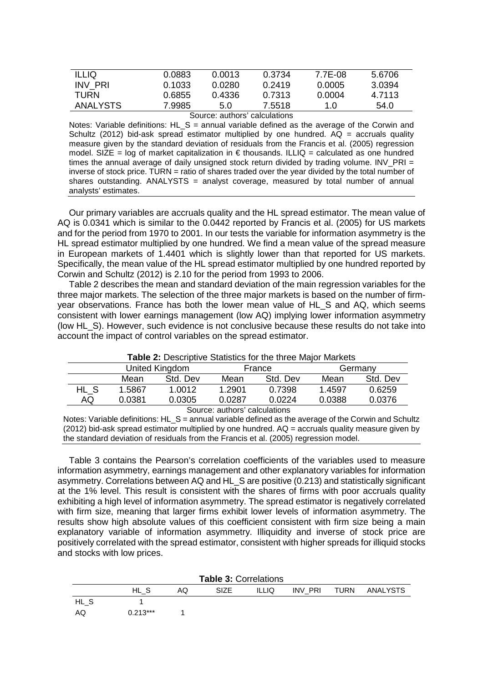| <b>ILLIQ</b>    | 0.0883 | 0.0013 | 0.3734 | 7.7E-08 | 5.6706 |
|-----------------|--------|--------|--------|---------|--------|
| INV PRI         | 0.1033 | 0.0280 | 0.2419 | 0.0005  | 3.0394 |
| TURN            | 0.6855 | 0.4336 | 0.7313 | 0.0004  | 4.7113 |
| <b>ANALYSTS</b> | 7.9985 | 5.0    | 7.5518 | 1.0     | 54.0   |
|                 |        |        |        |         |        |

Notes: Variable definitions:  $HL$  S = annual variable defined as the average of the Corwin and Schultz (2012) bid-ask spread estimator multiplied by one hundred.  $\overline{AQ}$  = accruals quality measure given by the standard deviation of residuals from the Francis et al. (2005) regression model. SIZE = log of market capitalization in  $\epsilon$  thousands. ILLIQ = calculated as one hundred times the annual average of daily unsigned stock return divided by trading volume. INV PRI = inverse of stock price. TURN = ratio of shares traded over the year divided by the total number of shares outstanding.  $ANALYSTS = analyst covered$ , measured by total number of annual analysts' estimates.

Our primary variables are accruals quality and the HL spread estimator. The mean value of AQ is 0.0341 which is similar to the 0.0442 reported by Francis et al. (2005) for US markets and for the period from 1970 to 2001. In our tests the variable for information asymmetry is the HL spread estimator multiplied by one hundred. We find a mean value of the spread measure in European markets of 1.4401 which is slightly lower than that reported for US markets. Specifically, the mean value of the HL spread estimator multiplied by one hundred reported by Corwin and Schultz (2012) is 2.10 for the period from 1993 to 2006.

Table 2 describes the mean and standard deviation of the main regression variables for the three major markets. The selection of the three major markets is based on the number of firmyear observations. France has both the lower mean value of HL\_S and AQ, which seems consistent with lower earnings management (low AQ) implying lower information asymmetry (low HL\_S). However, such evidence is not conclusive because these results do not take into account the impact of control variables on the spread estimator.

|      | <b>Table 2:</b> Descriptive Statistics for the three Major Markets |          |        |          |         |          |  |  |  |
|------|--------------------------------------------------------------------|----------|--------|----------|---------|----------|--|--|--|
|      | United Kingdom                                                     |          | France |          | Germany |          |  |  |  |
|      | Mean                                                               | Std. Dev | Mean   | Std. Dev | Mean    | Std. Dev |  |  |  |
| HL S | 1.5867                                                             | 1.0012   | 1.2901 | 0.7398   | 1.4597  | 0.6259   |  |  |  |
| AQ   | 0.0381                                                             | 0.0305   | 0.0287 | 0.0224   | 0.0388  | 0.0376   |  |  |  |
|      | Source: authors' calculations                                      |          |        |          |         |          |  |  |  |

#### **Table 2:** Descriptive Statistics for the three Major Markets

Notes: Variable definitions:  $HL$  S = annual variable defined as the average of the Corwin and Schultz (2012) bid-ask spread estimator multiplied by one hundred. AQ = accruals quality measure given by the standard deviation of residuals from the Francis et al. (2005) regression model.

Table 3 contains the Pearson's correlation coefficients of the variables used to measure information asymmetry, earnings management and other explanatory variables for information asymmetry. Correlations between AQ and HL\_S are positive (0.213) and statistically significant at the 1% level. This result is consistent with the shares of firms with poor accruals quality exhibiting a high level of information asymmetry. The spread estimator is negatively correlated with firm size, meaning that larger firms exhibit lower levels of information asymmetry. The results show high absolute values of this coefficient consistent with firm size being a main explanatory variable of information asymmetry. Illiquidity and inverse of stock price are positively correlated with the spread estimator, consistent with higher spreads for illiquid stocks and stocks with low prices.

| <b>Table 3: Correlations</b> |            |    |             |              |         |      |          |  |
|------------------------------|------------|----|-------------|--------------|---------|------|----------|--|
|                              | HL S       | AQ | <b>SIZE</b> | <b>ILLIQ</b> | INV PRI | TURN | ANALYSTS |  |
| HL S                         |            |    |             |              |         |      |          |  |
| AQ                           | $0.213***$ |    |             |              |         |      |          |  |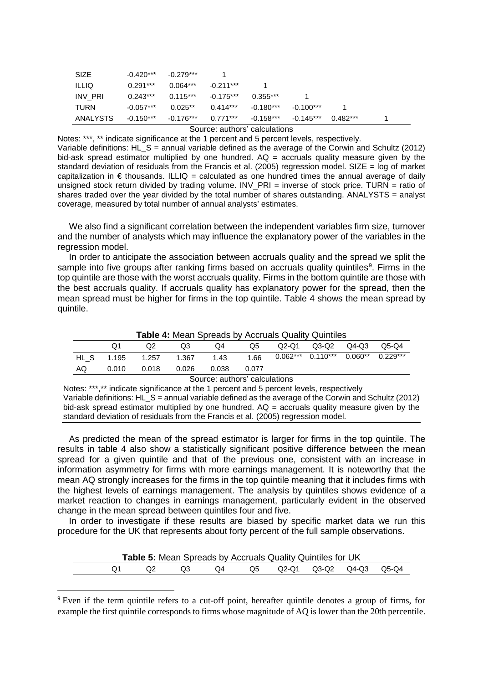| SIZE     | -0.420*** | -0.279***                         |                                    |  |  |
|----------|-----------|-----------------------------------|------------------------------------|--|--|
| ILLIQ    | 0.291***  | $0.064***$ $-0.211***$            |                                    |  |  |
| inv pri  |           | $0.243***$ $0.115***$ $-0.175***$ | $0.355***$                         |  |  |
| TURN     | -0.057*** | $0.025***$                        | $0.414***$ $-0.180***$ $-0.100***$ |  |  |
| ANALYSTS |           | -0.150***  -0.176***  0.771***    | $-0.158***$ $-0.145***$ $0.482***$ |  |  |

Notes: \*\*\*, \*\* indicate significance at the 1 percent and 5 percent levels, respectively.

Variable definitions:  $HL$  S = annual variable defined as the average of the Corwin and Schultz (2012) bid-ask spread estimator multiplied by one hundred.  $AQ = accruals$  quality measure given by the standard deviation of residuals from the Francis et al. (2005) regression model. SIZE = log of market capitalization in  $\epsilon$  thousands. ILLIQ = calculated as one hundred times the annual average of daily unsigned stock return divided by trading volume. INV\_PRI = inverse of stock price. TURN = ratio of shares traded over the year divided by the total number of shares outstanding. ANALYSTS = analyst coverage, measured by total number of annual analysts' estimates.

We also find a significant correlation between the independent variables firm size, turnover and the number of analysts which may influence the explanatory power of the variables in the regression model.

In order to anticipate the association between accruals quality and the spread we split the sample into five groups after ranking firms based on accruals quality quintiles<sup>[9](#page-13-0)</sup>. Firms in the top quintile are those with the worst accruals quality. Firms in the bottom quintile are those with the best accruals quality. If accruals quality has explanatory power for the spread, then the mean spread must be higher for firms in the top quintile. Table 4 shows the mean spread by quintile.

**Table 4:** Mean Spreads by Accruals Quality Quintiles

|    |            | Q2    | Q3    | Q4    | Q5    | $Q2-O1$ | Q3-Q2                                      | Q4-Q3 | Q5-Q4 |
|----|------------|-------|-------|-------|-------|---------|--------------------------------------------|-------|-------|
|    | HL S 1.195 | 1.257 | 1.367 | 1.43  | 1.66  |         | $0.062***$ $0.110***$ $0.060**$ $0.229***$ |       |       |
| AQ | 0.010      | 0.018 | 0.026 | 0.038 | 0.077 |         |                                            |       |       |

Source: authors' calculations Notes: \*\*\*,\*\* indicate significance at the 1 percent and 5 percent levels, respectively Variable definitions: HL\_S = annual variable defined as the average of the Corwin and Schultz (2012) bid-ask spread estimator multiplied by one hundred.  $AQ = accruals$  quality measure given by the standard deviation of residuals from the Francis et al. (2005) regression model.

As predicted the mean of the spread estimator is larger for firms in the top quintile. The results in table 4 also show a statistically significant positive difference between the mean spread for a given quintile and that of the previous one, consistent with an increase in information asymmetry for firms with more earnings management. It is noteworthy that the mean AQ strongly increases for the firms in the top quintile meaning that it includes firms with the highest levels of earnings management. The analysis by quintiles shows evidence of a market reaction to changes in earnings management, particularly evident in the observed change in the mean spread between quintiles four and five.

In order to investigate if these results are biased by specific market data we run this procedure for the UK that represents about forty percent of the full sample observations.

|  |          |            |  | <b>Table 5: Mean Spreads by Accruals Quality Quintiles for UK</b> |  |  |
|--|----------|------------|--|-------------------------------------------------------------------|--|--|
|  | $\Omega$ | $\Omega$ 3 |  | Q4 Q5 Q2-Q1 Q3-Q2 Q4-Q3 Q5-Q4                                     |  |  |

<span id="page-13-0"></span> <sup>9</sup> Even if the term quintile refers to a cut-off point, hereafter quintile denotes a group of firms, for example the first quintile corresponds to firms whose magnitude of AQ is lower than the 20th percentile.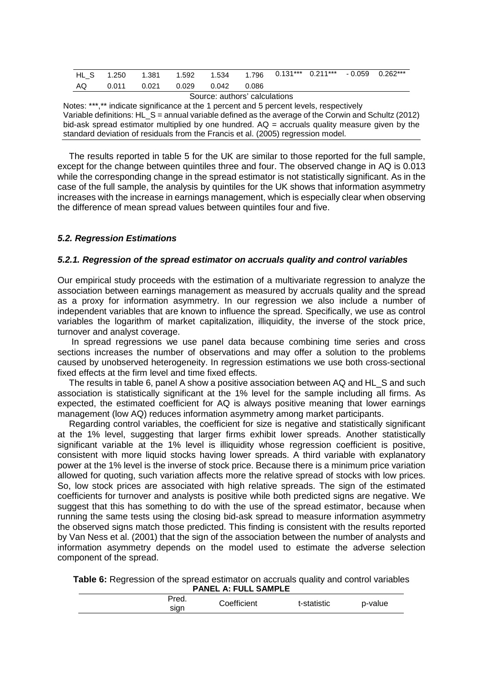|     |  |  |       |  | HL_S  1.250  1.381  1.592  1.534  1.796  0.131***  0.211***  - 0.059  0.262*** |
|-----|--|--|-------|--|--------------------------------------------------------------------------------|
| AQ. |  |  | 0.086 |  |                                                                                |
|     |  |  |       |  |                                                                                |

Notes: \*\*\*, \*\* indicate significance at the 1 percent and 5 percent levels, respectively Variable definitions: HL\_S = annual variable defined as the average of the Corwin and Schultz (2012) bid-ask spread estimator multiplied by one hundred.  $AQ =$  accruals quality measure given by the standard deviation of residuals from the Francis et al. (2005) regression model.

The results reported in table 5 for the UK are similar to those reported for the full sample, except for the change between quintiles three and four. The observed change in AQ is 0.013 while the corresponding change in the spread estimator is not statistically significant. As in the case of the full sample, the analysis by quintiles for the UK shows that information asymmetry increases with the increase in earnings management, which is especially clear when observing the difference of mean spread values between quintiles four and five.

# *5.2. Regression Estimations*

# *5.2.1. Regression of the spread estimator on accruals quality and control variables*

Our empirical study proceeds with the estimation of a multivariate regression to analyze the association between earnings management as measured by accruals quality and the spread as a proxy for information asymmetry. In our regression we also include a number of independent variables that are known to influence the spread. Specifically, we use as control variables the logarithm of market capitalization, illiquidity, the inverse of the stock price, turnover and analyst coverage.

In spread regressions we use panel data because combining time series and cross sections increases the number of observations and may offer a solution to the problems caused by unobserved heterogeneity. In regression estimations we use both cross-sectional fixed effects at the firm level and time fixed effects.

The results in table 6, panel A show a positive association between AQ and HL\_S and such association is statistically significant at the 1% level for the sample including all firms. As expected, the estimated coefficient for AQ is always positive meaning that lower earnings management (low AQ) reduces information asymmetry among market participants.

Regarding control variables, the coefficient for size is negative and statistically significant at the 1% level, suggesting that larger firms exhibit lower spreads. Another statistically significant variable at the 1% level is illiquidity whose regression coefficient is positive, consistent with more liquid stocks having lower spreads. A third variable with explanatory power at the 1% level is the inverse of stock price. Because there is a minimum price variation allowed for quoting, such variation affects more the relative spread of stocks with low prices. So, low stock prices are associated with high relative spreads. The sign of the estimated coefficients for turnover and analysts is positive while both predicted signs are negative. We suggest that this has something to do with the use of the spread estimator, because when running the same tests using the closing bid-ask spread to measure information asymmetry the observed signs match those predicted. This finding is consistent with the results reported by Van Ness et al. (2001) that the sign of the association between the number of analysts and information asymmetry depends on the model used to estimate the adverse selection component of the spread.

**Table 6:** Regression of the spread estimator on accruals quality and control variables **PANEL A: FULL SAMPLE**

| Pred.<br>cefficient.<br>t-statistic<br>p-value<br>sign |
|--------------------------------------------------------|
|--------------------------------------------------------|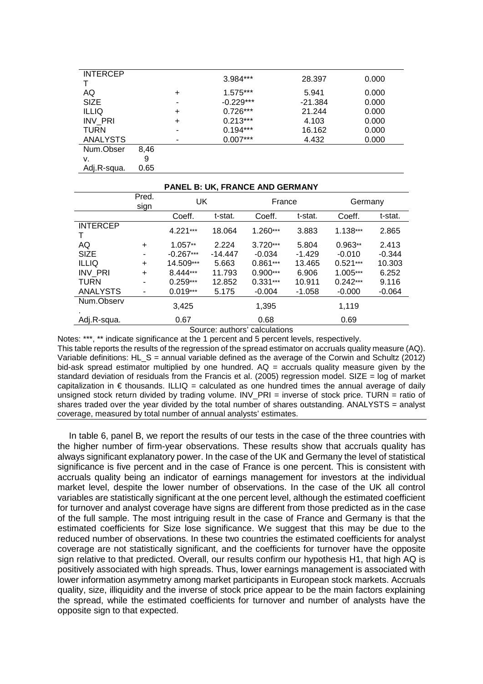| <b>INTERCEP</b> |      |   | 3.984***    | 28.397    | 0.000 |
|-----------------|------|---|-------------|-----------|-------|
| AQ              |      | ÷ | 1.575***    | 5.941     | 0.000 |
| <b>SIZE</b>     |      |   | $-0.229***$ | $-21.384$ | 0.000 |
| <b>ILLIQ</b>    |      | + | $0.726***$  | 21.244    | 0.000 |
| <b>INV PRI</b>  |      | ÷ | $0.213***$  | 4.103     | 0.000 |
| <b>TURN</b>     |      |   | $0.194***$  | 16.162    | 0.000 |
| <b>ANALYSTS</b> |      | ۰ | $0.007***$  | 4.432     | 0.000 |
| Num.Obser       | 8,46 |   |             |           |       |
| ν.              | 9    |   |             |           |       |
| Adj.R-squa.     | 0.65 |   |             |           |       |

| <b>PANEL B: UK, FRANCE AND GERMANY</b> |               |             |           |                               |          |            |          |  |  |  |
|----------------------------------------|---------------|-------------|-----------|-------------------------------|----------|------------|----------|--|--|--|
|                                        | Pred.<br>sign | UK          |           | France                        |          | Germany    |          |  |  |  |
|                                        |               | Coeff.      | t-stat.   | Coeff.                        | t-stat.  | Coeff.     | t-stat.  |  |  |  |
| <b>INTERCEP</b><br>т                   |               | 4.221***    | 18.064    | $1.260***$                    | 3.883    | $1.138***$ | 2.865    |  |  |  |
| AQ                                     | $\ddot{}$     | $1.057**$   | 2.224     | $3.720***$                    | 5.804    | $0.963**$  | 2.413    |  |  |  |
| <b>SIZE</b>                            |               | $-0.267***$ | $-14.447$ | $-0.034$                      | $-1.429$ | $-0.010$   | $-0.344$ |  |  |  |
| <b>ILLIQ</b>                           | $\ddot{}$     | 14.509***   | 5.663     | $0.861***$                    | 13.465   | $0.521***$ | 10.303   |  |  |  |
| <b>INV PRI</b>                         | $\ddot{}$     | 8.444***    | 11.793    | $0.900***$                    | 6.906    | $1.005***$ | 6.252    |  |  |  |
| <b>TURN</b>                            |               | $0.259***$  | 12.852    | $0.331***$                    | 10.911   | $0.242***$ | 9.116    |  |  |  |
| <b>ANALYSTS</b>                        |               | $0.019***$  | 5.175     | $-0.004$                      | $-1.058$ | $-0.000$   | $-0.064$ |  |  |  |
| Num.Observ                             |               | 3,425       |           | 1,395                         |          | 1,119      |          |  |  |  |
| Adj.R-squa.                            |               | 0.67        |           | 0.68                          |          | 0.69       |          |  |  |  |
|                                        |               |             |           | Cource: quthore' coloulations |          |            |          |  |  |  |

Notes: \*\*\*, \*\* indicate significance at the 1 percent and 5 percent levels, respectively. This table reports the results of the regression of the spread estimator on accruals quality measure (AQ). Variable definitions:  $HL$  S = annual variable defined as the average of the Corwin and Schultz (2012) bid-ask spread estimator multiplied by one hundred.  $AQ =$  accruals quality measure given by the standard deviation of residuals from the Francis et al. (2005) regression model. SIZE = log of market capitalization in  $\epsilon$  thousands. ILLIQ = calculated as one hundred times the annual average of daily unsigned stock return divided by trading volume.  $INV\_PRI =$  inverse of stock price. TURN = ratio of shares traded over the year divided by the total number of shares outstanding. ANALYSTS = analyst coverage, measured by total number of annual analysts' estimates.

In table 6, panel B, we report the results of our tests in the case of the three countries with the higher number of firm-year observations. These results show that accruals quality has always significant explanatory power. In the case of the UK and Germany the level of statistical significance is five percent and in the case of France is one percent. This is consistent with accruals quality being an indicator of earnings management for investors at the individual market level, despite the lower number of observations. In the case of the UK all control variables are statistically significant at the one percent level, although the estimated coefficient for turnover and analyst coverage have signs are different from those predicted as in the case of the full sample. The most intriguing result in the case of France and Germany is that the estimated coefficients for Size lose significance. We suggest that this may be due to the reduced number of observations. In these two countries the estimated coefficients for analyst coverage are not statistically significant, and the coefficients for turnover have the opposite sign relative to that predicted. Overall, our results confirm our hypothesis H1, that high AQ is positively associated with high spreads. Thus, lower earnings management is associated with lower information asymmetry among market participants in European stock markets. Accruals quality, size, illiquidity and the inverse of stock price appear to be the main factors explaining the spread, while the estimated coefficients for turnover and number of analysts have the opposite sign to that expected.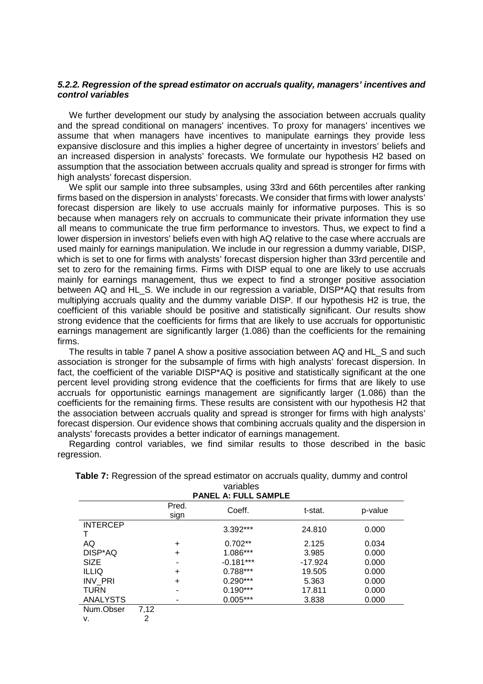# *5.2.2. Regression of the spread estimator on accruals quality, managers' incentives and control variables*

We further development our study by analysing the association between accruals quality and the spread conditional on managers' incentives. To proxy for managers' incentives we assume that when managers have incentives to manipulate earnings they provide less expansive disclosure and this implies a higher degree of uncertainty in investors' beliefs and an increased dispersion in analysts' forecasts. We formulate our hypothesis H2 based on assumption that the association between accruals quality and spread is stronger for firms with high analysts' forecast dispersion.

We split our sample into three subsamples, using 33rd and 66th percentiles after ranking firms based on the dispersion in analysts' forecasts. We consider that firms with lower analysts' forecast dispersion are likely to use accruals mainly for informative purposes. This is so because when managers rely on accruals to communicate their private information they use all means to communicate the true firm performance to investors. Thus, we expect to find a lower dispersion in investors' beliefs even with high AQ relative to the case where accruals are used mainly for earnings manipulation. We include in our regression a dummy variable, DISP, which is set to one for firms with analysts' forecast dispersion higher than 33rd percentile and set to zero for the remaining firms. Firms with DISP equal to one are likely to use accruals mainly for earnings management, thus we expect to find a stronger positive association between AQ and HL, S. We include in our regression a variable, DISP\*AQ that results from multiplying accruals quality and the dummy variable DISP. If our hypothesis H2 is true, the coefficient of this variable should be positive and statistically significant. Our results show strong evidence that the coefficients for firms that are likely to use accruals for opportunistic earnings management are significantly larger (1.086) than the coefficients for the remaining firms.

The results in table 7 panel A show a positive association between AQ and HL\_S and such association is stronger for the subsample of firms with high analysts' forecast dispersion. In fact, the coefficient of the variable DISP\*AQ is positive and statistically significant at the one percent level providing strong evidence that the coefficients for firms that are likely to use accruals for opportunistic earnings management are significantly larger (1.086) than the coefficients for the remaining firms. These results are consistent with our hypothesis H2 that the association between accruals quality and spread is stronger for firms with high analysts' forecast dispersion. Our evidence shows that combining accruals quality and the dispersion in analysts' forecasts provides a better indicator of earnings management.

Regarding control variables, we find similar results to those described in the basic regression.

| <b>PANEL A: FULL SAMPLE</b> |      |               |             |           |         |  |  |  |  |
|-----------------------------|------|---------------|-------------|-----------|---------|--|--|--|--|
|                             |      | Pred.<br>sign | Coeff.      | t-stat.   | p-value |  |  |  |  |
| <b>INTERCEP</b>             |      |               | 3.392***    | 24.810    | 0.000   |  |  |  |  |
| AQ                          |      | $\ddot{}$     | $0.702**$   | 2.125     | 0.034   |  |  |  |  |
| DISP*AQ                     |      | $\ddot{}$     | 1.086***    | 3.985     | 0.000   |  |  |  |  |
| <b>SIZE</b>                 |      | ۰             | $-0.181***$ | $-17.924$ | 0.000   |  |  |  |  |
| <b>ILLIQ</b>                |      | $\ddot{}$     | 0.788***    | 19.505    | 0.000   |  |  |  |  |
| INV_PRI                     |      | $\ddot{}$     | $0.290***$  | 5.363     | 0.000   |  |  |  |  |
| <b>TURN</b>                 |      | -             | $0.190***$  | 17.811    | 0.000   |  |  |  |  |
| <b>ANALYSTS</b>             |      | -             | $0.005***$  | 3.838     | 0.000   |  |  |  |  |
| Num.Obser                   | 7,12 |               |             |           |         |  |  |  |  |
| V.                          |      |               |             |           |         |  |  |  |  |

**Table 7:** Regression of the spread estimator on accruals quality, dummy and control variables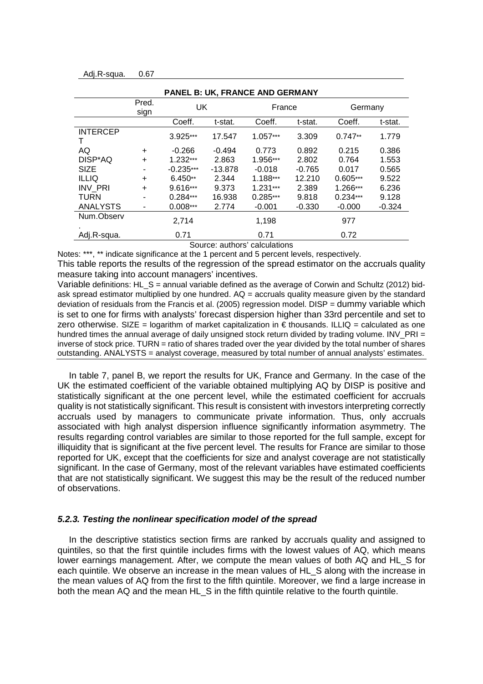Adj.R-squa. 0.67

| <b>PANEL B: UK, FRANCE AND GERMANY</b> |               |                |           |             |          |            |          |  |  |
|----------------------------------------|---------------|----------------|-----------|-------------|----------|------------|----------|--|--|
|                                        | Pred.<br>sign | UK             |           | France      |          | Germany    |          |  |  |
|                                        |               | Coeff.         | t-stat.   | Coeff.      | t-stat.  | Coeff.     | t-stat.  |  |  |
| <b>INTERCEP</b><br>т                   |               | 3.925***       | 17.547    | $1.057***$  | 3.309    | $0.747**$  | 1.779    |  |  |
| AQ                                     | $\ddot{}$     | $-0.266$       | $-0.494$  | 0.773       | 0.892    | 0.215      | 0.386    |  |  |
| DISP*AQ                                | $\ddot{}$     | $1.232***$     | 2.863     | 1.956***    | 2.802    | 0.764      | 1.553    |  |  |
| <b>SIZE</b>                            |               | $-0.235***$    | $-13.878$ | $-0.018$    | $-0.765$ | 0.017      | 0.565    |  |  |
| <b>ILLIQ</b>                           | $\ddot{}$     | $6.450**$      | 2.344     | $1.188***$  | 12.210   | $0.605***$ | 9.522    |  |  |
| <b>INV PRI</b>                         | $\ddot{}$     | $9.616***$     | 9.373     | $1.231***$  | 2.389    | $1.266***$ | 6.236    |  |  |
| <b>TURN</b>                            |               | $0.284***$     | 16.938    | $0.285***$  | 9.818    | $0.234***$ | 9.128    |  |  |
| <b>ANALYSTS</b>                        |               | $0.008***$     | 2.774     | $-0.001$    | $-0.330$ | $-0.000$   | $-0.324$ |  |  |
| Num.Observ                             |               | 2,714          |           | 1,198       |          | 977        |          |  |  |
| Adj.R-squa.                            |               | 0.71<br>$\sim$ |           | 0.71<br>. . |          | 0.72       |          |  |  |

Notes: \*\*\*, \*\* indicate significance at the 1 percent and 5 percent levels, respectively.

This table reports the results of the regression of the spread estimator on the accruals quality measure taking into account managers' incentives.

Variable definitions: HL\_S = annual variable defined as the average of Corwin and Schultz (2012) bidask spread estimator multiplied by one hundred.  $AQ =$  accruals quality measure given by the standard deviation of residuals from the Francis et al. (2005) regression model. DISP = dummy variable which is set to one for firms with analysts' forecast dispersion higher than 33rd percentile and set to zero otherwise. SIZE = logarithm of market capitalization in  $\epsilon$  thousands. ILLIQ = calculated as one hundred times the annual average of daily unsigned stock return divided by trading volume. INV\_PRI = inverse of stock price. TURN = ratio of shares traded over the year divided by the total number of shares outstanding. ANALYSTS = analyst coverage, measured by total number of annual analysts' estimates.

In table 7, panel B, we report the results for UK, France and Germany. In the case of the UK the estimated coefficient of the variable obtained multiplying AQ by DISP is positive and statistically significant at the one percent level, while the estimated coefficient for accruals quality is not statistically significant. This result is consistent with investors interpreting correctly accruals used by managers to communicate private information. Thus, only accruals associated with high analyst dispersion influence significantly information asymmetry. The results regarding control variables are similar to those reported for the full sample, except for illiquidity that is significant at the five percent level. The results for France are similar to those reported for UK, except that the coefficients for size and analyst coverage are not statistically significant. In the case of Germany, most of the relevant variables have estimated coefficients that are not statistically significant. We suggest this may be the result of the reduced number of observations.

## *5.2.3. Testing the nonlinear specification model of the spread*

In the descriptive statistics section firms are ranked by accruals quality and assigned to quintiles, so that the first quintile includes firms with the lowest values of AQ, which means lower earnings management. After, we compute the mean values of both AQ and HL S for each quintile. We observe an increase in the mean values of HL\_S along with the increase in the mean values of AQ from the first to the fifth quintile. Moreover, we find a large increase in both the mean AQ and the mean HL S in the fifth quintile relative to the fourth quintile.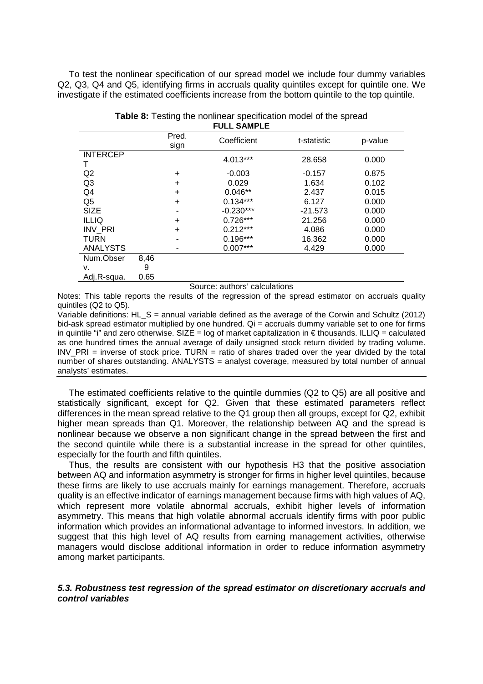To test the nonlinear specification of our spread model we include four dummy variables Q2, Q3, Q4 and Q5, identifying firms in accruals quality quintiles except for quintile one. We investigate if the estimated coefficients increase from the bottom quintile to the top quintile.

|                 |      |               | בם ווזורש בבע ו  |             |         |
|-----------------|------|---------------|------------------|-------------|---------|
|                 |      | Pred.<br>sign | Coefficient      | t-statistic | p-value |
| <b>INTERCEP</b> |      |               | 4.013***         | 28.658      | 0.000   |
| Q2              |      | $\ddot{}$     | $-0.003$         | $-0.157$    | 0.875   |
| Q <sub>3</sub>  |      | $\ddot{}$     | 0.029            | 1.634       | 0.102   |
| Q4              |      | $\ddot{}$     | $0.046**$        | 2.437       | 0.015   |
| Q <sub>5</sub>  |      | $\ddot{}$     | $0.134***$       | 6.127       | 0.000   |
| <b>SIZE</b>     |      |               | $-0.230***$      | $-21.573$   | 0.000   |
| <b>ILLIQ</b>    |      | $\ddot{}$     | $0.726***$       | 21.256      | 0.000   |
| <b>INV PRI</b>  |      | $\ddot{}$     | $0.212***$       | 4.086       | 0.000   |
| TURN            |      |               | $0.196***$       | 16.362      | 0.000   |
| <b>ANALYSTS</b> |      |               | $0.007***$       | 4.429       | 0.000   |
| Num.Obser       | 8,46 |               |                  |             |         |
| v.              | 9    |               |                  |             |         |
| Adj.R-squa.     | 0.65 |               |                  |             |         |
|                 |      | -             | .<br>$\sim$<br>. |             |         |

| Table 8: Testing the nonlinear specification model of the spread |                    |  |  |
|------------------------------------------------------------------|--------------------|--|--|
|                                                                  | <b>FULL SAMPLE</b> |  |  |

Source: authors' calculations

Notes: This table reports the results of the regression of the spread estimator on accruals quality quintiles (Q2 to Q5).

Variable definitions:  $HL$  S = annual variable defined as the average of the Corwin and Schultz (2012) bid-ask spread estimator multiplied by one hundred.  $Qi$  = accruals dummy variable set to one for firms in quintile "i" and zero otherwise. SIZE = log of market capitalization in € thousands. ILLIQ = calculated as one hundred times the annual average of daily unsigned stock return divided by trading volume.  $INV$  PRI = inverse of stock price. TURN = ratio of shares traded over the year divided by the total number of shares outstanding. ANALYSTS = analyst coverage, measured by total number of annual analysts' estimates.

The estimated coefficients relative to the quintile dummies (Q2 to Q5) are all positive and statistically significant, except for Q2. Given that these estimated parameters reflect differences in the mean spread relative to the Q1 group then all groups, except for Q2, exhibit higher mean spreads than Q1. Moreover, the relationship between AQ and the spread is nonlinear because we observe a non significant change in the spread between the first and the second quintile while there is a substantial increase in the spread for other quintiles, especially for the fourth and fifth quintiles.

Thus, the results are consistent with our hypothesis H3 that the positive association between AQ and information asymmetry is stronger for firms in higher level quintiles, because these firms are likely to use accruals mainly for earnings management. Therefore, accruals quality is an effective indicator of earnings management because firms with high values of AQ, which represent more volatile abnormal accruals, exhibit higher levels of information asymmetry. This means that high volatile abnormal accruals identify firms with poor public information which provides an informational advantage to informed investors. In addition, we suggest that this high level of AQ results from earning management activities, otherwise managers would disclose additional information in order to reduce information asymmetry among market participants.

## *5.3. Robustness test regression of the spread estimator on discretionary accruals and control variables*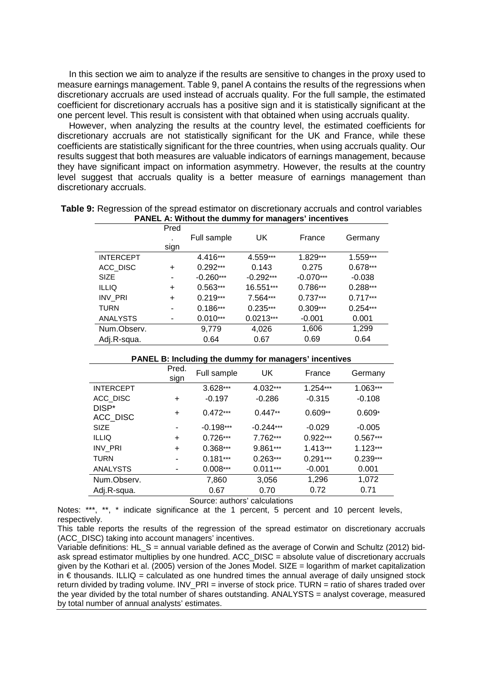In this section we aim to analyze if the results are sensitive to changes in the proxy used to measure earnings management. Table 9, panel A contains the results of the regressions when discretionary accruals are used instead of accruals quality. For the full sample, the estimated coefficient for discretionary accruals has a positive sign and it is statistically significant at the one percent level. This result is consistent with that obtained when using accruals quality.

However, when analyzing the results at the country level, the estimated coefficients for discretionary accruals are not statistically significant for the UK and France, while these coefficients are statistically significant for the three countries, when using accruals quality. Our results suggest that both measures are valuable indicators of earnings management, because they have significant impact on information asymmetry. However, the results at the country level suggest that accruals quality is a better measure of earnings management than discretionary accruals.

|                  | Pred      |             |             |             |            |
|------------------|-----------|-------------|-------------|-------------|------------|
|                  |           | Full sample | UK          | France      | Germany    |
|                  | sign      |             |             |             |            |
| <b>INTERCEPT</b> |           | $4.416***$  | 4.559***    | $1.829***$  | 1.559***   |
| ACC DISC         | $\ddot{}$ | $0.292***$  | 0.143       | 0.275       | $0.678***$ |
| <b>SIZE</b>      | ۰         | $-0.260***$ | $-0.292***$ | $-0.070***$ | $-0.038$   |
| <b>ILLIQ</b>     | $\ddot{}$ | $0.563***$  | 16.551***   | 0.786***    | $0.288***$ |
| <b>INV PRI</b>   | $\ddot{}$ | $0.219***$  | 7.564***    | $0.737***$  | $0.717***$ |
| <b>TURN</b>      |           | $0.186***$  | $0.235***$  | $0.309***$  | $0.254***$ |
| <b>ANALYSTS</b>  |           | $0.010***$  | $0.0213***$ | $-0.001$    | 0.001      |
| Num.Observ.      |           | 9,779       | 4,026       | 1,606       | 1,299      |
| Adj.R-squa.      |           | 0.64        | 0.67        | 0.69        | 0.64       |

|  |  |  | Table 9: Regression of the spread estimator on discretionary accruals and control variables |  |  |
|--|--|--|---------------------------------------------------------------------------------------------|--|--|
|  |  |  | <b>PANEL A: Without the dummy for managers' incentives</b>                                  |  |  |

**PANEL B: Including the dummy for managers' incentives**

|                   | Pred.<br>sign | Full sample | UK          | France     | Germany    |
|-------------------|---------------|-------------|-------------|------------|------------|
| <b>INTERCEPT</b>  |               | $3.628***$  | 4.032***    | $1.254***$ | $1.063***$ |
| ACC_DISC          | ÷             | $-0.197$    | $-0.286$    | $-0.315$   | $-0.108$   |
| DISP*<br>ACC_DISC | $\ddot{}$     | $0.472***$  | $0.447**$   | $0.609**$  | $0.609*$   |
| <b>SIZE</b>       | ۰             | $-0.198***$ | $-0.244***$ | $-0.029$   | $-0.005$   |
| <b>ILLIQ</b>      | $\ddot{}$     | $0.726***$  | 7.762***    | $0.922***$ | $0.567***$ |
| INV PRI           | $\ddot{}$     | 0.368***    | 9.861***    | $1.413***$ | $1.123***$ |
| <b>TURN</b>       | ۰             | $0.181***$  | $0.263***$  | $0.291***$ | $0.239***$ |
| <b>ANALYSTS</b>   | ۰             | $0.008***$  | $0.011***$  | $-0.001$   | 0.001      |
| Num.Observ.       |               | 7,860       | 3,056       | 1,296      | 1,072      |
| Adj.R-squa.       |               | 0.67        | 0.70        | 0.72       | 0.71       |

Source: authors' calculations

Notes: \*\*\*, \*\*, \* indicate significance at the 1 percent, 5 percent and 10 percent levels, respectively.

This table reports the results of the regression of the spread estimator on discretionary accruals (ACC\_DISC) taking into account managers' incentives.

Variable definitions: HL  $S =$  annual variable defined as the average of Corwin and Schultz (2012) bidask spread estimator multiplies by one hundred. ACC\_DISC = absolute value of discretionary accruals given by the Kothari et al. (2005) version of the Jones Model. SIZE = logarithm of market capitalization in € thousands. ILLIQ = calculated as one hundred times the annual average of daily unsigned stock return divided by trading volume. INV\_PRI = inverse of stock price. TURN = ratio of shares traded over the year divided by the total number of shares outstanding. ANALYSTS = analyst coverage, measured by total number of annual analysts' estimates.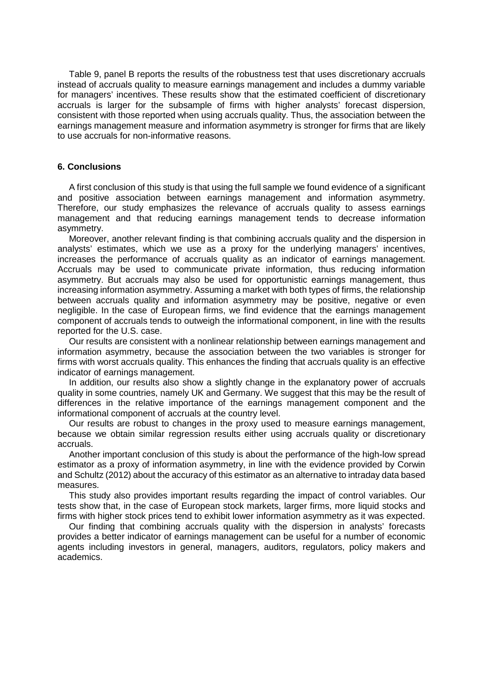Table 9, panel B reports the results of the robustness test that uses discretionary accruals instead of accruals quality to measure earnings management and includes a dummy variable for managers' incentives. These results show that the estimated coefficient of discretionary accruals is larger for the subsample of firms with higher analysts' forecast dispersion, consistent with those reported when using accruals quality. Thus, the association between the earnings management measure and information asymmetry is stronger for firms that are likely to use accruals for non-informative reasons.

## **6. Conclusions**

A first conclusion of this study is that using the full sample we found evidence of a significant and positive association between earnings management and information asymmetry. Therefore, our study emphasizes the relevance of accruals quality to assess earnings management and that reducing earnings management tends to decrease information asymmetry.

Moreover, another relevant finding is that combining accruals quality and the dispersion in analysts' estimates, which we use as a proxy for the underlying managers' incentives, increases the performance of accruals quality as an indicator of earnings management. Accruals may be used to communicate private information, thus reducing information asymmetry. But accruals may also be used for opportunistic earnings management, thus increasing information asymmetry. Assuming a market with both types of firms, the relationship between accruals quality and information asymmetry may be positive, negative or even negligible. In the case of European firms, we find evidence that the earnings management component of accruals tends to outweigh the informational component, in line with the results reported for the U.S. case.

Our results are consistent with a nonlinear relationship between earnings management and information asymmetry, because the association between the two variables is stronger for firms with worst accruals quality. This enhances the finding that accruals quality is an effective indicator of earnings management.

In addition, our results also show a slightly change in the explanatory power of accruals quality in some countries, namely UK and Germany. We suggest that this may be the result of differences in the relative importance of the earnings management component and the informational component of accruals at the country level.

Our results are robust to changes in the proxy used to measure earnings management, because we obtain similar regression results either using accruals quality or discretionary accruals.

Another important conclusion of this study is about the performance of the high-low spread estimator as a proxy of information asymmetry, in line with the evidence provided by Corwin and Schultz (2012) about the accuracy of this estimator as an alternative to intraday data based measures.

This study also provides important results regarding the impact of control variables. Our tests show that, in the case of European stock markets, larger firms, more liquid stocks and firms with higher stock prices tend to exhibit lower information asymmetry as it was expected.

Our finding that combining accruals quality with the dispersion in analysts' forecasts provides a better indicator of earnings management can be useful for a number of economic agents including investors in general, managers, auditors, regulators, policy makers and academics.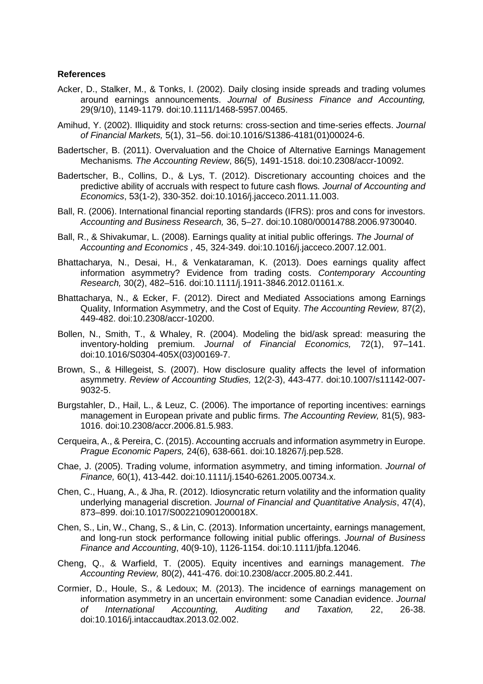## **References**

- Acker, D., Stalker, M., & Tonks, I. (2002). Daily closing inside spreads and trading volumes around earnings announcements. *Journal of Business Finance and Accounting,* 29(9/10), 1149-1179. doi:10.1111/1468-5957.00465.
- Amihud, Y. (2002). Illiquidity and stock returns: cross-section and time-series effects. *Journal of Financial Markets,* 5(1), 31–56. doi[:10.1016/S1386-4181\(01\)00024-6.](http://dx.doi.org/10.1016/S1386-4181(01)00024-6)
- Badertscher, B. (2011). Overvaluation and the Choice of Alternative Earnings Management Mechanisms*. The Accounting Review*, 86(5), 1491-1518. doi:10.2308/accr-10092.
- Badertscher, B., Collins, D., & Lys, T. (2012). Discretionary accounting choices and the predictive ability of accruals with respect to future cash flows*. Journal of Accounting and Economics*, 53(1-2), 330-352. doi:10.1016/j.jacceco.2011.11.003.
- Ball, R. (2006). International financial reporting standards (IFRS): pros and cons for investors. *Accounting and Business Research,* 36, 5–27. doi[:10.1080/00014788.2006.9730040.](http://dx.doi.org/10.1080/00014788.2006.9730040)
- Ball, R., & Shivakumar, L. (2008). Earnings quality at initial public offerings. *The Journal of Accounting and Economics ,* 45, 324-349. doi:10.1016/j.jacceco.2007.12.001.
- Bhattacharya, N., Desai, H., & Venkataraman, K. (2013). Does earnings quality affect information asymmetry? Evidence from trading costs. *Contemporary Accounting Research,* 30(2), 482–516. doi:10.1111/j.1911-3846.2012.01161.x.
- Bhattacharya, N., & Ecker, F. (2012). Direct and Mediated Associations among Earnings Quality, Information Asymmetry, and the Cost of Equity. *The Accounting Review,* 87(2), 449-482. doi:10.2308/accr-10200.
- Bollen, N., Smith, T., & Whaley, R. (2004). Modeling the bid/ask spread: measuring the inventory-holding premium. *Journal of Financial Economics,* 72(1), 97–141. doi:10.1016/S0304-405X(03)00169-7.
- Brown, S., & Hillegeist, S. (2007). [How disclosure quality affects the level of information](http://www.experts.scival.com/asu/pubDetail.asp?t=pm&id=34249870114&n=Stephen+A+Hillegeist&u_id=1960&oe_id=1&o_id=)  [asymmetry.](http://www.experts.scival.com/asu/pubDetail.asp?t=pm&id=34249870114&n=Stephen+A+Hillegeist&u_id=1960&oe_id=1&o_id=) *Review of Accounting Studies,* 12(2-3), 443-477. doi:10.1007/s11142-007- 9032-5.
- Burgstahler, D., Hail, L., & Leuz, C. (2006). The importance of reporting incentives: earnings management in European private and public firms. *The Accounting Review,* 81(5), 983- 1016. doi[:10.2308/accr.2006.81.5.983.](http://dx.doi.org/10.2308/accr.2006.81.5.983)
- Cerqueira, A., & Pereira, C. (2015). Accounting accruals and information asymmetry in Europe. *Prague Economic Papers,* 24(6), 638-661. doi:10.18267/j.pep.528.
- Chae, J. (2005). Trading volume, information asymmetry, and timing information. *Journal of Finance,* 60(1), 413-442. doi:10.1111/j.1540-6261.2005.00734.x.
- Chen, C., Huang, A., & Jha, R. (2012). Idiosyncratic return volatility and the information quality underlying managerial discretion. *Journal of Financial and Quantitative Analysis*, 47(4), 873–899. doi:10.1017/S002210901200018X.
- Chen, S., Lin, W., Chang, S., & Lin, C. (2013). Information uncertainty, earnings management, and long-run stock performance following initial public offerings. *Journal of Business Finance and Accounting*, 40(9-10), 1126-1154. doi:10.1111/jbfa.12046.
- Cheng, Q., & Warfield, T. (2005). Equity incentives and earnings management. *The Accounting Review,* 80(2), 441-476. doi:10.2308/accr.2005.80.2.441.
- Cormier, D., Houle, S., & Ledoux; M. (2013). The incidence of earnings management on information asymmetry in an uncertain environment: some Canadian evidence. *Journal of International Accounting, Auditing and Taxation,* 22, 26-38. doi:10.1016/j.intaccaudtax.2013.02.002.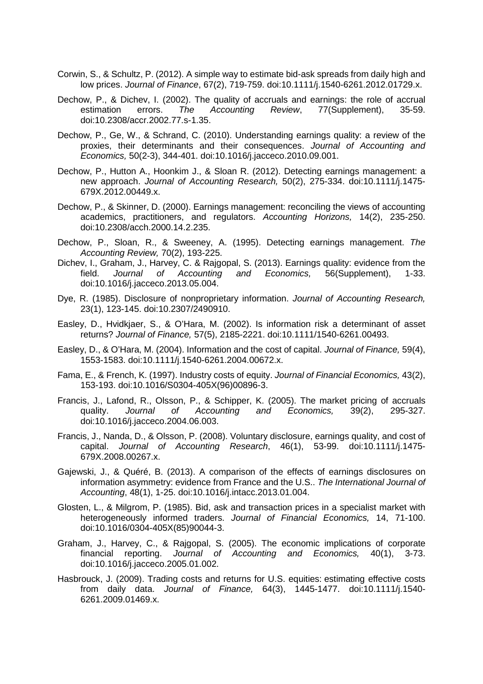- Corwin, S., & Schultz, P. (2012). A simple way to estimate bid-ask spreads from daily high and low prices. *Journal of Finance*, 67(2), 719-759. doi:10.1111/j.1540-6261.2012.01729.x.
- Dechow, P., & Dichev, I. (2002). The quality of accruals and earnings: the role of accrual estimation errors. *The Accounting Review*, 77(Supplement), 35-59. doi[:10.2308/accr.2002.77.s-1.35.](http://dx.doi.org/10.2308/accr.2002.77.s-1.35)
- Dechow, P., Ge, W., & Schrand, C. (2010). Understanding earnings quality: a review of the proxies, their determinants and their consequences. *Journal of Accounting and Economics,* 50(2-3), 344-401. doi:10.1016/j.jacceco.2010.09.001.
- Dechow, P., Hutton A., Hoonkim J., & Sloan R. (2012). Detecting earnings management: a new approach. *Journal of Accounting Research,* 50(2), 275-334. doi:10.1111/j.1475- 679X.2012.00449.x.
- Dechow, P., & Skinner, D. (2000). Earnings management: reconciling the views of accounting academics, practitioners, and regulators. *Accounting Horizons,* 14(2), 235-250. doi[:10.2308/acch.2000.14.2.235.](http://dx.doi.org/10.2308/acch.2000.14.2.235)
- Dechow, P., Sloan, R., & Sweeney, A. (1995). Detecting earnings management. *The Accounting Review,* 70(2), 193-225.
- Dichev, I., Graham, J., Harvey, C. & Rajgopal, S. (2013). Earnings quality: evidence from the field. *Journal of Accounting and Economics,* 56(Supplement), 1-33. doi:10.1016/j.jacceco.2013.05.004.
- Dye, R. (1985). Disclosure of nonproprietary information. *Journal of Accounting Research,* 23(1), 123-145. doi[:10.2307/2490910.](http://dx.doi.org/10.2307/2490910)
- Easley, D., Hvidkjaer, S., & O'Hara, M. (2002). Is information risk a determinant of asset returns? *Journal of Finance,* 57(5), 2185-2221. doi[:10.1111/1540-6261.00493.](http://dx.doi.org/10.1111/1540-6261.00493)
- Easley, D., & O'Hara, M. (2004). Information and the cost of capital. *Journal of Finance,* 59(4), 1553-1583. doi:10.1111/j.1540-6261.2004.00672.x.
- Fama, E., & French, K. (1997). Industry costs of equity. *Journal of Financial Economics,* 43(2), 153-193. doi[:10.1016/S0304-405X\(96\)00896-3.](http://dx.doi.org/10.1016/S0304-405X(96)00896-3)
- Francis, J., Lafond, R., Olsson, P., & Schipper, K. (2005). The market pricing of accruals quality. *Journal of Accounting and Economics,* 39(2), 295-327. doi:10.1016/j.jacceco.2004.06.003.
- Francis, J., Nanda, D., & Olsson, P. (2008). Voluntary disclosure, earnings quality, and cost of capital. *Journal of Accounting Research*, 46(1), 53-99. doi:10.1111/j.1475- 679X.2008.00267.x.
- Gajewski, J., & Quéré, B. (2013). A comparison of the effects of earnings disclosures on information asymmetry: evidence from France and the U.S.. *The International Journal of Accounting*, 48(1), 1-25. doi[:10.1016/j.intacc.2013.01.004.](http://dx.doi.org/10.1016/j.intacc.2013.01.004)
- Glosten, L., & Milgrom, P. (1985). Bid, ask and transaction prices in a specialist market with heterogeneously informed traders. *Journal of Financial Economics,* 14, 71-100. doi[:10.1016/0304-405X\(85\)90044-3.](http://dx.doi.org/10.1016/0304-405X(85)90044-3)
- Graham, J., Harvey, C., & Rajgopal, S. (2005). The economic implications of corporate financial reporting. *Journal of Accounting and Economics,* 40(1), 3-73. doi:10.1016/j.jacceco.2005.01.002.
- Hasbrouck, J. (2009). Trading costs and returns for U.S. equities: estimating effective costs from daily data. *Journal of Finance,* 64(3), 1445-1477. doi:10.1111/j.1540- 6261.2009.01469.x.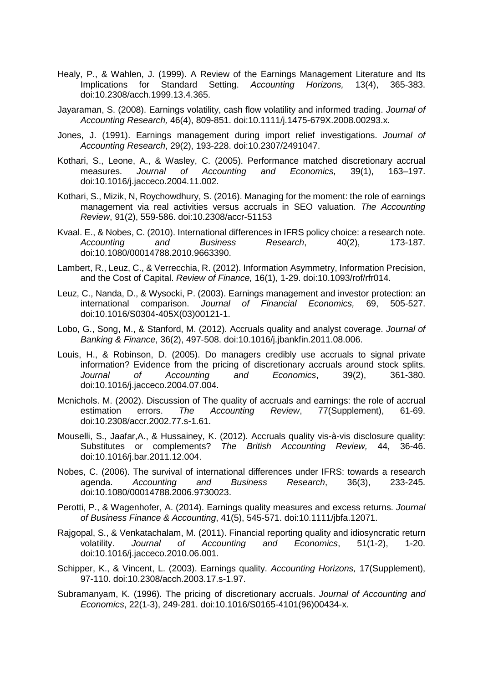- Healy, P., & Wahlen, J. (1999). A Review of the Earnings Management Literature and Its Implications for Standard Setting. *Accounting Horizons,* 13(4), 365-383. doi[:10.2308/acch.1999.13.4.365.](http://dx.doi.org/10.2308/acch.1999.13.4.365)
- Jayaraman, S. (2008). Earnings volatility, cash flow volatility and informed trading. *Journal of Accounting Research,* 46(4), 809-851. doi:10.1111/j.1475-679X.2008.00293.x.
- Jones, J. (1991). Earnings management during import relief investigations. *Journal of Accounting Research*, 29(2), 193-228. doi[:10.2307/2491047.](http://dx.doi.org/10.2307/2491047)
- Kothari, S., Leone, A., & Wasley, C. (2005). Performance matched discretionary accrual measures. *Journal of Accounting and Economics,* 39(1), 163–197. doi:10.1016/j.jacceco.2004.11.002.
- Kothari, S., Mizik, N, Roychowdhury, S. (2016). Managing for the moment: the role of earnings management via real activities versus accruals in SEO valuation*. The Accounting Review*, 91(2), 559-586. doi:10.2308/accr-51153
- Kvaal. E., & Nobes, C. (2010). International differences in IFRS policy choice: a research note. *Accounting and Business Research*, 40(2), 173-187. doi:10.1080/00014788.2010.9663390.
- Lambert, [R.,](https://accounting.wharton.upenn.edu/profile/410/) Leuz, C., & [Verrecchia,](https://accounting.wharton.upenn.edu/profile/414/) R. (2012). [Information Asymmetry, Information Precision,](http://rof.oxfordjournals.org/content/16/1/1.abstract)  [and the Cost of Capital.](http://rof.oxfordjournals.org/content/16/1/1.abstract) *Review of Finance,* 16(1), 1-29. doi:10.1093/rof/rfr014.
- Leuz, C., Nanda, D., & Wysocki, P. (2003). Earnings management and investor protection: an international comparison. *Journal of Financial Economics,* 69, 505-527. doi[:10.1016/S0304-405X\(03\)00121-1.](http://dx.doi.org/10.2308/acch.1999.13.4.365)
- Lobo, G., Song, M., & Stanford, M. (2012). Accruals quality and analyst coverage. *Journal of Banking & Finance*, 36(2), 497-508. doi:10.1016/j.jbankfin.2011.08.006.
- Louis, H., & Robinson, D. (2005). Do managers credibly use accruals to signal private information? Evidence from the pricing of discretionary accruals around stock splits. *Journal of Accounting and Economics*, 39(2), 361-380. doi:10.1016/j.jacceco.2004.07.004.
- Mcnichols. M. (2002). Discussion of The quality of accruals and earnings: the role of accrual estimation errors. *The Accounting Review*, 77(Supplement), 61-69. doi[:10.2308/accr.2002.77.s-1.61.](http://dx.doi.org/10.2308/accr.2002.77.s-1.61)
- Mouselli, S., Jaafar,A., & Hussainey, K. (2012). Accruals quality vis-à-vis disclosure quality: Substitutes or complements? *The British Accounting Review,* 44, 36-46. doi:10.1016/j.bar.2011.12.004.
- Nobes, C. (2006). The survival of international differences under IFRS: towards a research agenda. *Accounting and Business Research*, 36(3), 233-245. doi[:10.1080/00014788.2006.9730023.](http://dx.doi.org/10.1080/00014788.2006.9730023)
- Perotti, P., & Wagenhofer, A. (2014). Earnings quality measures and excess returns. *Journal of Business Finance & Accounting*, 41(5), 545-571. doi:10.1111/jbfa.12071.
- Rajgopal, S., & Venkatachalam, M. (2011). Financial reporting quality and idiosyncratic return volatility. *Journal of Accounting and Economics*, 51(1-2), 1-20. doi:10.1016/j.jacceco.2010.06.001.
- Schipper, K., & Vincent, L. (2003). Earnings quality. *Accounting Horizons,* 17(Supplement), 97-110. doi[:10.2308/acch.2003.17.s-1.97.](http://dx.doi.org/10.2308/acch.2003.17.s-1.97)
- Subramanyam, K. (1996). The pricing of discretionary accruals. *Journal of Accounting and Economics*, 22(1-3), 249-281. doi[:10.1016/S0165-4101\(96\)00434-x](http://dx.doi.org/10.1016/S0165-4101(96)00434-X).